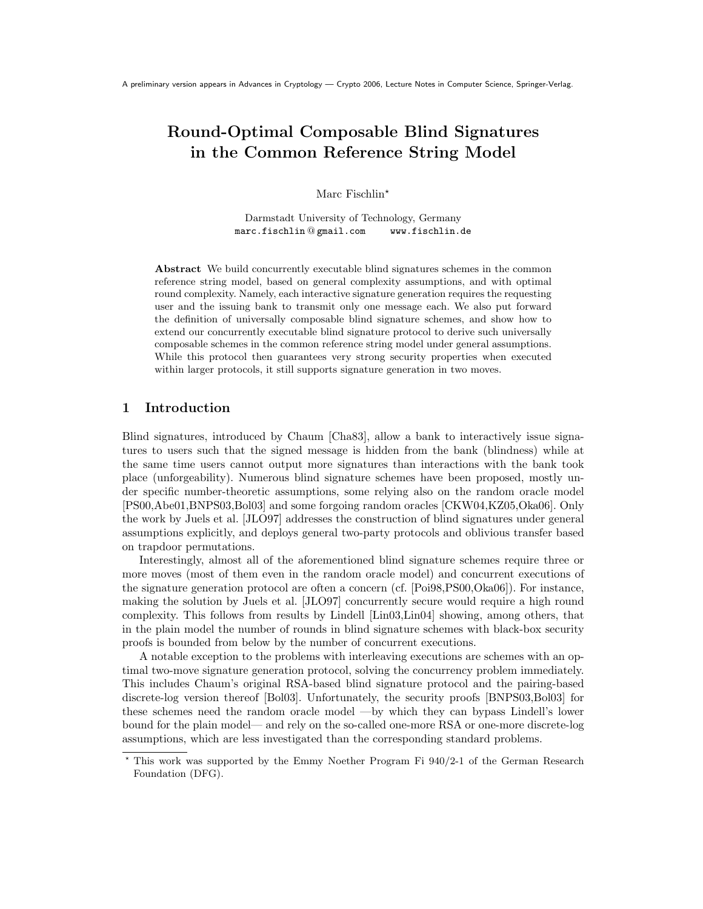# Round-Optimal Composable Blind Signatures in the Common Reference String Model

Marc Fischlin<sup>\*</sup>

Darmstadt University of Technology, Germany marc.fischlin @ gmail.com www.fischlin.de

Abstract We build concurrently executable blind signatures schemes in the common reference string model, based on general complexity assumptions, and with optimal round complexity. Namely, each interactive signature generation requires the requesting user and the issuing bank to transmit only one message each. We also put forward the definition of universally composable blind signature schemes, and show how to extend our concurrently executable blind signature protocol to derive such universally composable schemes in the common reference string model under general assumptions. While this protocol then guarantees very strong security properties when executed within larger protocols, it still supports signature generation in two moves.

# 1 Introduction

Blind signatures, introduced by Chaum [Cha83], allow a bank to interactively issue signatures to users such that the signed message is hidden from the bank (blindness) while at the same time users cannot output more signatures than interactions with the bank took place (unforgeability). Numerous blind signature schemes have been proposed, mostly under specific number-theoretic assumptions, some relying also on the random oracle model [PS00,Abe01,BNPS03,Bol03] and some forgoing random oracles [CKW04,KZ05,Oka06]. Only the work by Juels et al. [JLO97] addresses the construction of blind signatures under general assumptions explicitly, and deploys general two-party protocols and oblivious transfer based on trapdoor permutations.

Interestingly, almost all of the aforementioned blind signature schemes require three or more moves (most of them even in the random oracle model) and concurrent executions of the signature generation protocol are often a concern (cf. [Poi98,PS00,Oka06]). For instance, making the solution by Juels et al. [JLO97] concurrently secure would require a high round complexity. This follows from results by Lindell [Lin03,Lin04] showing, among others, that in the plain model the number of rounds in blind signature schemes with black-box security proofs is bounded from below by the number of concurrent executions.

A notable exception to the problems with interleaving executions are schemes with an optimal two-move signature generation protocol, solving the concurrency problem immediately. This includes Chaum's original RSA-based blind signature protocol and the pairing-based discrete-log version thereof [Bol03]. Unfortunately, the security proofs [BNPS03,Bol03] for these schemes need the random oracle model —by which they can bypass Lindell's lower bound for the plain model— and rely on the so-called one-more RSA or one-more discrete-log assumptions, which are less investigated than the corresponding standard problems.

<sup>?</sup> This work was supported by the Emmy Noether Program Fi 940/2-1 of the German Research Foundation (DFG).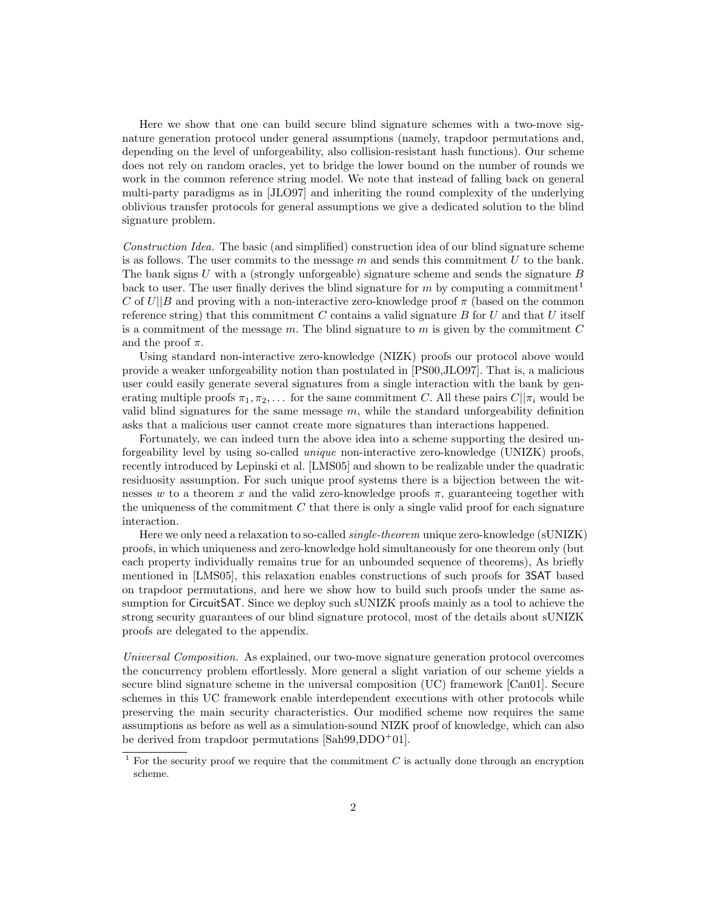Here we show that one can build secure blind signature schemes with a two-move signature generation protocol under general assumptions (namely, trapdoor permutations and, depending on the level of unforgeability, also collision-resistant hash functions). Our scheme does not rely on random oracles, yet to bridge the lower bound on the number of rounds we work in the common reference string model. We note that instead of falling back on general multi-party paradigms as in [JLO97] and inheriting the round complexity of the underlying oblivious transfer protocols for general assumptions we give a dedicated solution to the blind signature problem.

Construction Idea. The basic (and simplified) construction idea of our blind signature scheme is as follows. The user commits to the message  $m$  and sends this commitment  $U$  to the bank. The bank signs U with a (strongly unforgeable) signature scheme and sends the signature  $B$ back to user. The user finally derives the blind signature for m by computing a commitment<sup>1</sup> C of  $U||B$  and proving with a non-interactive zero-knowledge proof  $\pi$  (based on the common reference string) that this commitment  $C$  contains a valid signature  $B$  for  $U$  and that  $U$  itself is a commitment of the message  $m$ . The blind signature to  $m$  is given by the commitment  $C$ and the proof  $\pi$ .

Using standard non-interactive zero-knowledge (NIZK) proofs our protocol above would provide a weaker unforgeability notion than postulated in [PS00,JLO97]. That is, a malicious user could easily generate several signatures from a single interaction with the bank by generating multiple proofs  $\pi_1, \pi_2, \ldots$  for the same commitment C. All these pairs  $C||\pi_i$  would be valid blind signatures for the same message  $m$ , while the standard unforgeability definition asks that a malicious user cannot create more signatures than interactions happened.

Fortunately, we can indeed turn the above idea into a scheme supporting the desired unforgeability level by using so-called unique non-interactive zero-knowledge (UNIZK) proofs, recently introduced by Lepinski et al. [LMS05] and shown to be realizable under the quadratic residuosity assumption. For such unique proof systems there is a bijection between the witnesses w to a theorem x and the valid zero-knowledge proofs  $\pi$ , guaranteeing together with the uniqueness of the commitment  $C$  that there is only a single valid proof for each signature interaction.

Here we only need a relaxation to so-called *single-theorem* unique zero-knowledge (sUNIZK) proofs, in which uniqueness and zero-knowledge hold simultaneously for one theorem only (but each property individually remains true for an unbounded sequence of theorems), As briefly mentioned in [LMS05], this relaxation enables constructions of such proofs for 3SAT based on trapdoor permutations, and here we show how to build such proofs under the same assumption for CircuitSAT. Since we deploy such sUNIZK proofs mainly as a tool to achieve the strong security guarantees of our blind signature protocol, most of the details about sUNIZK proofs are delegated to the appendix.

Universal Composition. As explained, our two-move signature generation protocol overcomes the concurrency problem effortlessly. More general a slight variation of our scheme yields a secure blind signature scheme in the universal composition (UC) framework [Can01]. Secure schemes in this UC framework enable interdependent executions with other protocols while preserving the main security characteristics. Our modified scheme now requires the same assumptions as before as well as a simulation-sound NIZK proof of knowledge, which can also be derived from trapdoor permutations [Sah99,DDO<sup>+</sup>01].

 $1$  For the security proof we require that the commitment  $C$  is actually done through an encryption scheme.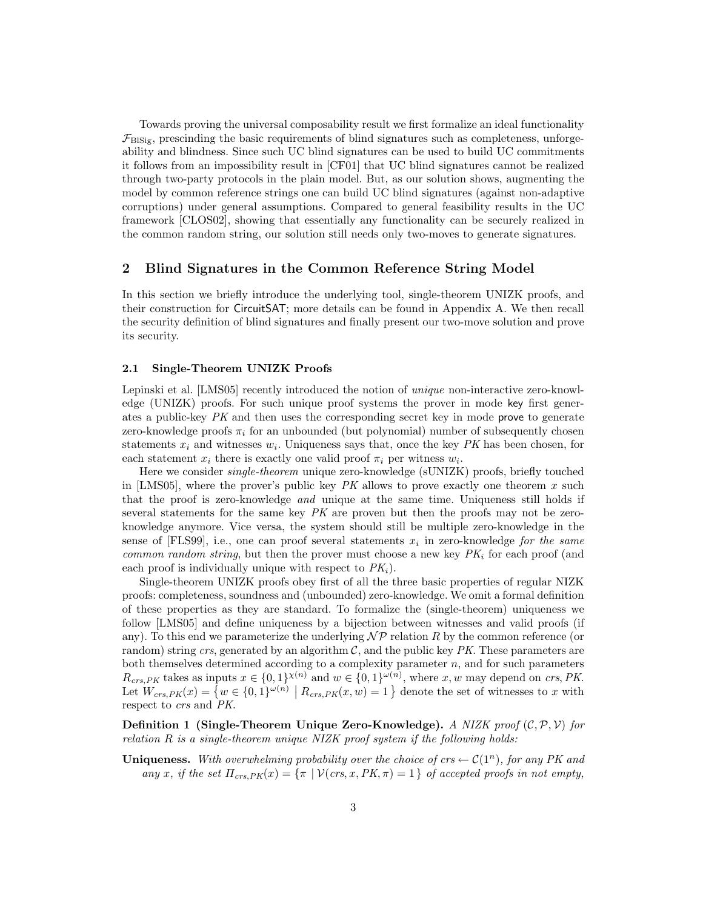Towards proving the universal composability result we first formalize an ideal functionality  $\mathcal{F}_{\text{BIsiz}}$ , prescinding the basic requirements of blind signatures such as completeness, unforgeability and blindness. Since such UC blind signatures can be used to build UC commitments it follows from an impossibility result in [CF01] that UC blind signatures cannot be realized through two-party protocols in the plain model. But, as our solution shows, augmenting the model by common reference strings one can build UC blind signatures (against non-adaptive corruptions) under general assumptions. Compared to general feasibility results in the UC framework [CLOS02], showing that essentially any functionality can be securely realized in the common random string, our solution still needs only two-moves to generate signatures.

## 2 Blind Signatures in the Common Reference String Model

In this section we briefly introduce the underlying tool, single-theorem UNIZK proofs, and their construction for CircuitSAT; more details can be found in Appendix A. We then recall the security definition of blind signatures and finally present our two-move solution and prove its security.

#### 2.1 Single-Theorem UNIZK Proofs

Lepinski et al. [LMS05] recently introduced the notion of *unique* non-interactive zero-knowledge (UNIZK) proofs. For such unique proof systems the prover in mode key first generates a public-key PK and then uses the corresponding secret key in mode prove to generate zero-knowledge proofs  $\pi_i$  for an unbounded (but polynomial) number of subsequently chosen statements  $x_i$  and witnesses  $w_i$ . Uniqueness says that, once the key PK has been chosen, for each statement  $x_i$  there is exactly one valid proof  $\pi_i$  per witness  $w_i$ .

Here we consider *single-theorem* unique zero-knowledge (sUNIZK) proofs, briefly touched in [LMS05], where the prover's public key  $PK$  allows to prove exactly one theorem  $x$  such that the proof is zero-knowledge and unique at the same time. Uniqueness still holds if several statements for the same key  $PK$  are proven but then the proofs may not be zeroknowledge anymore. Vice versa, the system should still be multiple zero-knowledge in the sense of [FLS99], i.e., one can proof several statements  $x_i$  in zero-knowledge for the same common random string, but then the prover must choose a new key  $PK_i$  for each proof (and each proof is individually unique with respect to  $PK<sub>i</sub>$ ).

Single-theorem UNIZK proofs obey first of all the three basic properties of regular NIZK proofs: completeness, soundness and (unbounded) zero-knowledge. We omit a formal definition of these properties as they are standard. To formalize the (single-theorem) uniqueness we follow [LMS05] and define uniqueness by a bijection between witnesses and valid proofs (if any). To this end we parameterize the underlying  $\mathcal{NP}$  relation R by the common reference (or random) string crs, generated by an algorithm  $C$ , and the public key  $PK$ . These parameters are both themselves determined according to a complexity parameter  $n$ , and for such parameters  $R_{crs,PK}$  takes as inputs  $x \in \{0,1\}^{\chi(n)}$  and  $w \in \{0,1\}^{\omega(n)}$ , where x, w may depend on crs, PK. Let  $W_{crs,PK}(x) = \{w \in \{0,1\}^{\omega(n)} \mid R_{crs,PK}(x,w) = 1\}$  denote the set of witnesses to x with respect to crs and PK.

**Definition 1 (Single-Theorem Unique Zero-Knowledge).** A NIZK proof  $(C, \mathcal{P}, \mathcal{V})$  for relation R is a single-theorem unique NIZK proof system if the following holds:

**Uniqueness.** With overwhelming probability over the choice of  $\mathit{crs} \leftarrow \mathcal{C}(1^n)$ , for any PK and any x, if the set  $\Pi_{crs,PK}(x) = {\pi \mid \mathcal{V}(crs,x,PK, \pi) = 1}$  of accepted proofs in not empty,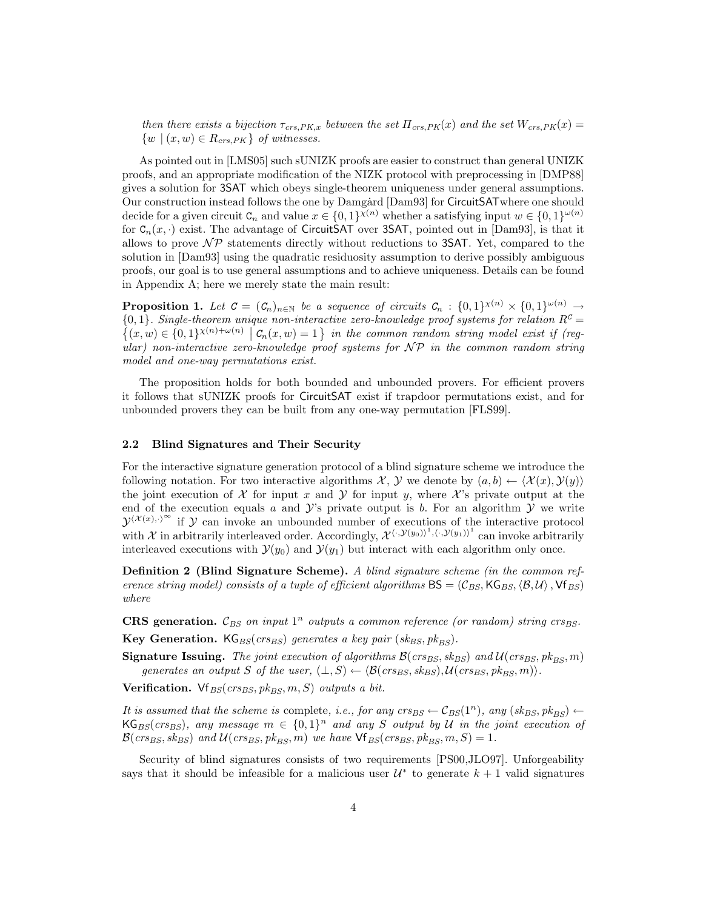then there exists a bijection  $\tau_{crs,PK,x}$  between the set  $\Pi_{crs,PK}(x)$  and the set  $W_{crs,PK}(x)$  $\{w \mid (x, w) \in R_{crs, PK}\}\$  of witnesses.

As pointed out in [LMS05] such sUNIZK proofs are easier to construct than general UNIZK proofs, and an appropriate modification of the NIZK protocol with preprocessing in [DMP88] gives a solution for 3SAT which obeys single-theorem uniqueness under general assumptions. Our construction instead follows the one by Damgård [Dam93] for CircuitSATwhere one should decide for a given circuit  $C_n$  and value  $x \in \{0,1\}^{\chi(n)}$  whether a satisfying input  $w \in \{0,1\}^{\omega(n)}$ for  $C_n(x, \cdot)$  exist. The advantage of CircuitSAT over 3SAT, pointed out in [Dam93], is that it allows to prove  $\mathcal{NP}$  statements directly without reductions to 3SAT. Yet, compared to the solution in [Dam93] using the quadratic residuosity assumption to derive possibly ambiguous proofs, our goal is to use general assumptions and to achieve uniqueness. Details can be found in Appendix A; here we merely state the main result:

**Proposition 1.** Let  $C = (C_n)_{n \in \mathbb{N}}$  be a sequence of circuits  $C_n : \{0,1\}^{\chi(n)} \times \{0,1\}^{\omega(n)} \to$  ${0,1}$ . Single-theorem unique non-interactive zero-knowledge proof systems for relation  $R^c$  $\{(x, w) \in \{0, 1\}^{\chi(n)+\omega(n)} \mid C_n(x, w) = 1\}$  in the common random string model exist if (regular) non-interactive zero-knowledge proof systems for  $\mathcal{NP}$  in the common random string model and one-way permutations exist.

The proposition holds for both bounded and unbounded provers. For efficient provers it follows that sUNIZK proofs for CircuitSAT exist if trapdoor permutations exist, and for unbounded provers they can be built from any one-way permutation [FLS99].

#### 2.2 Blind Signatures and Their Security

For the interactive signature generation protocol of a blind signature scheme we introduce the following notation. For two interactive algorithms X, Y we denote by  $(a, b) \leftarrow \langle \mathcal{X}(x), \mathcal{Y}(y) \rangle$ the joint execution of X for input x and Y for input y, where X's private output at the end of the execution equals  $a$  and  $\mathcal{Y}$ 's private output is  $b$ . For an algorithm  $\mathcal{Y}$  we write  $\mathcal{Y}^{(\mathcal{X}(x),\cdot)^\infty}$  if  $\mathcal Y$  can invoke an unbounded number of executions of the interactive protocol with X in arbitrarily interleaved order. Accordingly,  $\mathcal{X}^{(\cdot,\mathcal{Y}(y_0))}$ <sup>1</sup>,  $(\cdot,\mathcal{Y}(y_1))$ <sup>1</sup> can invoke arbitrarily interleaved executions with  $\mathcal{Y}(y_0)$  and  $\mathcal{Y}(y_1)$  but interact with each algorithm only once.

Definition 2 (Blind Signature Scheme). A blind signature scheme (in the common reference string model) consists of a tuple of efficient algorithms  $BS = (C_{BS}, \text{KG}_{BS}, \langle B, \mathcal{U} \rangle, \text{Vf}_{BS})$ where

CRS generation.  $\mathcal{C}_{BS}$  on input  $1^n$  outputs a common reference (or random) string crs<sub>BS</sub>.

Key Generation.  $\text{KG}_{BS}(crs_{BS})$  generates a key pair (sk<sub>BS</sub>, pk<sub>BS</sub>).

Signature Issuing. The joint execution of algorithms  $\mathcal{B}(crs_{BS}, sk_{BS})$  and  $\mathcal{U}(crs_{BS}, pk_{BS}, m)$ generates an output S of the user,  $(\bot, S) \leftarrow \langle \mathcal{B}(crs_{BS}, sk_{BS}), \mathcal{U}(crs_{BS}, pk_{BS}, m) \rangle$ .

Verification. Vf<sub>BS</sub>( $crs_{BS}, pk_{BS}, m, S$ ) outputs a bit.

It is assumed that the scheme is complete, i.e., for any crs<sub>BS</sub>  $\leftarrow C_{BS}(1^n)$ , any  $(sk_{BS}, \mathit{pk}_{BS})$   $\leftarrow$  $\mathsf{KG}_{BS}(crs_{BS}),$  any message  $m \in \{0,1\}^n$  and any S output by U in the joint execution of  $\mathcal{B}(cr_{BS}, sk_{BS})$  and  $\mathcal{U}(cr_{BS}, pk_{BS}, m)$  we have  $\forall f_{BS}(cr_{BS}, pk_{BS}, m, S) = 1$ .

Security of blind signatures consists of two requirements [PS00,JLO97]. Unforgeability says that it should be infeasible for a malicious user  $\mathcal{U}^*$  to generate  $k+1$  valid signatures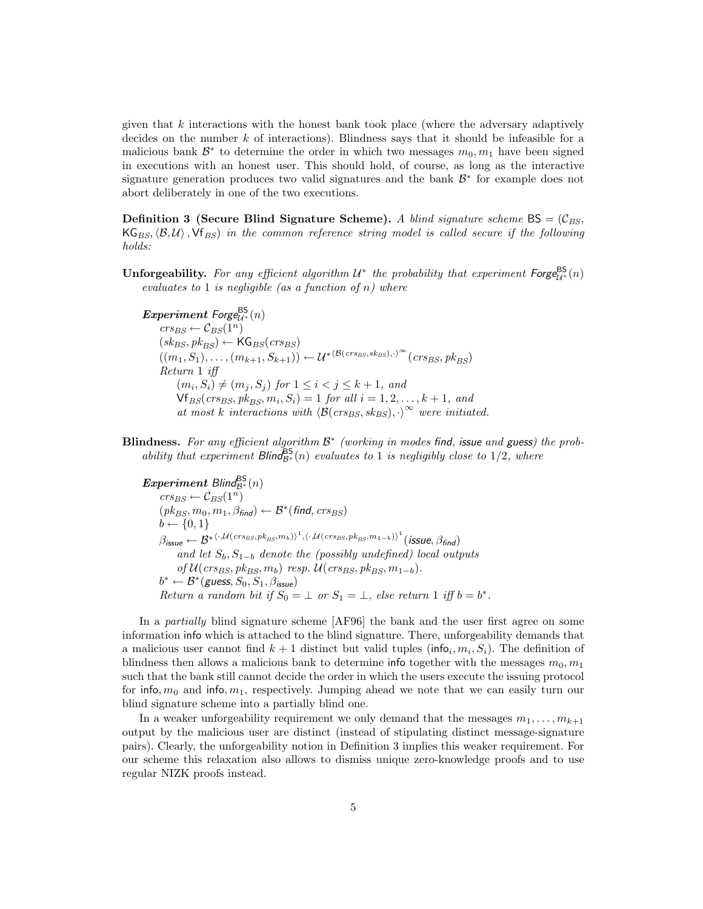given that  $k$  interactions with the honest bank took place (where the adversary adaptively decides on the number  $k$  of interactions). Blindness says that it should be infeasible for a malicious bank  $\mathcal{B}^*$  to determine the order in which two messages  $m_0, m_1$  have been signed in executions with an honest user. This should hold, of course, as long as the interactive signature generation produces two valid signatures and the bank  $\mathcal{B}^*$  for example does not abort deliberately in one of the two executions.

**Definition 3 (Secure Blind Signature Scheme).** A blind signature scheme  $BS = (\mathcal{C}_{BS}, \mathcal{C}_{BS})$  $KG_{BS},\langle B,\mathcal{U}\rangle$ ,  $Vf_{BS}$  in the common reference string model is called secure if the following holds:

**Unforgeability.** For any efficient algorithm  $U^*$  the probability that experiment  $\mathsf{Forge}_{U^*}^{\mathsf{BS}}(n)$ evaluates to 1 is negligible (as a function of  $n$ ) where

Experiment Forge $\mathcal{B}^{\sf BS}_{\mathcal{U}^*}(n)$  $crs_{BS} \leftarrow C_{BS}(1^n)$  $(sk_{BS}, pk_{BS}) \leftarrow \mathsf{KG}_{BS}(crs_{BS})$  $((m_1, S_1), \ldots, (m_{k+1}, S_{k+1})) \leftarrow \mathcal{U}^{*(\mathcal{B}(crs_{BS}, s_{BS}), \cdot)^\infty}(crs_{BS}, pk_{BS})$ Return 1 iff  $(m_i, S_i) \neq (m_j, S_j)$  for  $1 \leq i < j \leq k+1$ , and  $\mathsf{Vf}_{BS}(crs_{BS}, pk_{BS}, m_i, S_i) = 1 \text{ for all } i = 1, 2, ..., k+1, \text{ and }$ at most k interactions with  $\langle \mathcal{B}(crs_{BS}, sk_{BS}), \cdot \rangle^{\infty}$  were initiated.

**Blindness.** For any efficient algorithm  $\mathcal{B}^*$  (working in modes find, issue and guess) the probability that experiment  $\textsf{Blind}_{\mathcal{B}^*}^{\textsf{BS}}(n)$  evaluates to 1 is negligibly close to 1/2, where

Experiment Blind $_{\mathcal{B}^*}^{\mathsf{BS}}(n)$  $crs_{BS} \leftarrow C_{BS}(1^n)$  $(\mathit{pk}_{BS}, m_0, m_1, \beta_{\mathit{find}}) \leftarrow \mathcal{B}^*(\mathit{find}, \mathit{crs}_{BS})$  $b \leftarrow \{0, 1\}$  $\beta_{\mathit{issue}} \leftarrow \mathcal{B}^{*\langle \cdot, \mathcal{U}(crs_{\mathit{BS}}, \mathit{pk}_{\mathit{BS}}, m_{b}) \rangle^{1}, \langle \cdot, \mathcal{U}(crs_{\mathit{BS}}, \mathit{pk}_{\mathit{BS}}, m_{1-b}) \rangle^{1}}( \mathit{issue}, \beta_{\mathit{find}})$ and let  $S_b, S_{1-b}$  denote the (possibly undefined) local outputs of  $\mathcal{U}(crs_{BS}, pk_{BS}, m_b)$  resp.  $\mathcal{U}(crs_{BS}, pk_{BS}, m_{1-b}).$  $b^* \leftarrow \mathcal{B}^*(\text{guess}, S_0, S_1, \beta_{\text{issue}})$ Return a random bit if  $S_0 = \perp$  or  $S_1 = \perp$ , else return 1 iff  $b = b^*$ .

In a partially blind signature scheme [AF96] the bank and the user first agree on some information info which is attached to the blind signature. There, unforgeability demands that a malicious user cannot find  $k+1$  distinct but valid tuples (info<sub>i</sub>,  $m_i$ ,  $S_i$ ). The definition of blindness then allows a malicious bank to determine info together with the messages  $m_0, m_1$ such that the bank still cannot decide the order in which the users execute the issuing protocol for info,  $m_0$  and info,  $m_1$ , respectively. Jumping ahead we note that we can easily turn our blind signature scheme into a partially blind one.

In a weaker unforgeability requirement we only demand that the messages  $m_1, \ldots, m_{k+1}$ output by the malicious user are distinct (instead of stipulating distinct message-signature pairs). Clearly, the unforgeability notion in Definition 3 implies this weaker requirement. For our scheme this relaxation also allows to dismiss unique zero-knowledge proofs and to use regular NIZK proofs instead.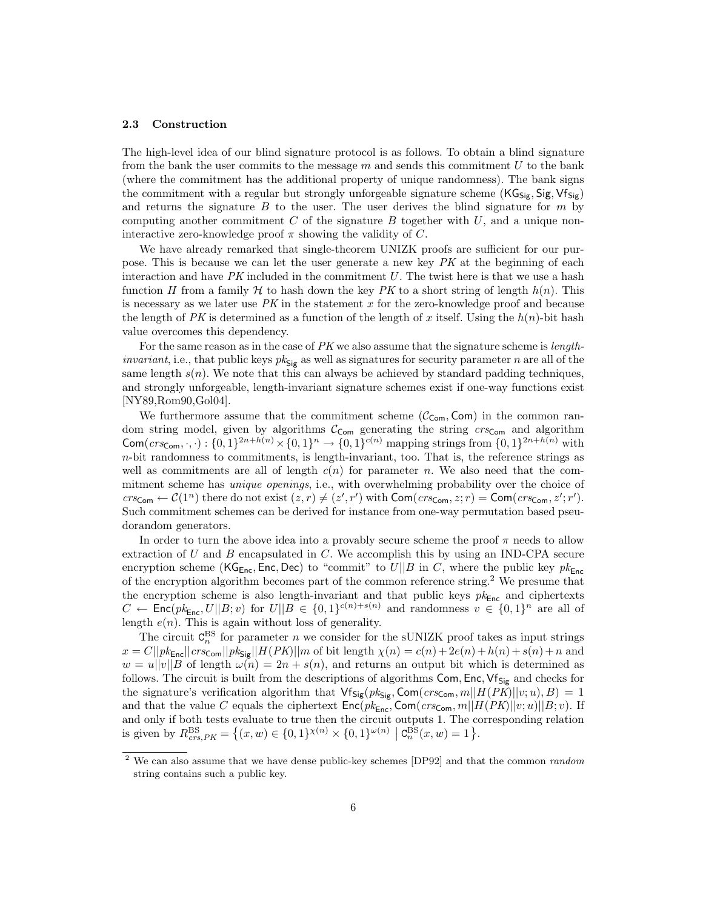### 2.3 Construction

The high-level idea of our blind signature protocol is as follows. To obtain a blind signature from the bank the user commits to the message  $m$  and sends this commitment  $U$  to the bank (where the commitment has the additional property of unique randomness). The bank signs the commitment with a regular but strongly unforgeable signature scheme  $(KG_{\text{Sig}}, \text{Sig}, \text{Vf}_{\text{Sig}})$ and returns the signature  $B$  to the user. The user derives the blind signature for  $m$  by computing another commitment  $C$  of the signature  $B$  together with  $U$ , and a unique noninteractive zero-knowledge proof  $\pi$  showing the validity of C.

We have already remarked that single-theorem UNIZK proofs are sufficient for our purpose. This is because we can let the user generate a new key PK at the beginning of each interaction and have  $PK$  included in the commitment  $U$ . The twist here is that we use a hash function H from a family H to hash down the key PK to a short string of length  $h(n)$ . This is necessary as we later use  $PK$  in the statement  $x$  for the zero-knowledge proof and because the length of PK is determined as a function of the length of x itself. Using the  $h(n)$ -bit hash value overcomes this dependency.

For the same reason as in the case of  $PK$  we also assume that the signature scheme is *length*invariant, i.e., that public keys  $pk_{\mathsf{Sig}}$  as well as signatures for security parameter n are all of the same length  $s(n)$ . We note that this can always be achieved by standard padding techniques, and strongly unforgeable, length-invariant signature schemes exist if one-way functions exist [NY89,Rom90,Gol04].

We furthermore assume that the commitment scheme  $(\mathcal{C}_{\mathsf{com}}, \mathsf{Com})$  in the common random string model, given by algorithms  $C_{Com}$  generating the string  $\mathit{crs}_{Com}$  and algorithm Com( $\text{crs}_{\text{Com}}, \cdot, \cdot$ ) :  $\{0, 1\}^{2n + h(n)} \times \{0, 1\}^n \to \{0, 1\}^{c(n)}$  mapping strings from  $\{0, 1\}^{2n + h(n)}$  with  $n$ -bit randomness to commitments, is length-invariant, too. That is, the reference strings as well as commitments are all of length  $c(n)$  for parameter n. We also need that the commitment scheme has unique openings, i.e., with overwhelming probability over the choice of  $\mathit{crs}_{\mathsf{Com}} \leftarrow \mathcal{C}(1^n)$  there do not exist  $(z, r) \neq (z', r')$  with  $\mathsf{Com}(\mathit{crs}_{\mathsf{Com}}, z; r) = \mathsf{Com}(\mathit{crs}_{\mathsf{Com}}, z'; r').$ Such commitment schemes can be derived for instance from one-way permutation based pseudorandom generators.

In order to turn the above idea into a provably secure scheme the proof  $\pi$  needs to allow extraction of  $U$  and  $B$  encapsulated in  $C$ . We accomplish this by using an IND-CPA secure encryption scheme (KG<sub>Enc</sub>, Enc, Dec) to "commit" to  $U||B$  in C, where the public key  $pk_{Enc}$ of the encryption algorithm becomes part of the common reference string.<sup>2</sup> We presume that the encryption scheme is also length-invariant and that public keys  $pk_{Enc}$  and ciphertexts  $C \leftarrow \mathsf{Enc}(pk_{\mathsf{Enc}}, U||B; v)$  for  $U||B \in \{0,1\}^{c(n)+s(n)}$  and randomness  $v \in \{0,1\}^n$  are all of length  $e(n)$ . This is again without loss of generality.

The circuit  $C_n^{\text{BS}}$  for parameter n we consider for the sUNIZK proof takes as input strings  $x = C||pk_{\text{Enc}}||crsc_{\text{om}}||pk_{\text{Sig}}||H(PK)||m$  of bit length  $\chi(n) = c(n) + 2e(n) + h(n) + s(n) + n$  and  $w = u||v||B$  of length  $\omega(n) = 2n + s(n)$ , and returns an output bit which is determined as follows. The circuit is built from the descriptions of algorithms Com, Enc,  $Vf_{Sig}$  and checks for the signature's verification algorithm that  $\mathsf{Vf_{Sig}}(pk_{Sig}, \mathsf{Com}(crs_{Com}, m||H(PK)||v; u), B) = 1$ and that the value C equals the ciphertext  $Enc(pk_{Enc}, Com(crs_{Com}, m||H(PK)||v; u)||B; v)$ . If and only if both tests evaluate to true then the circuit outputs 1. The corresponding relation is given by  $R_{crs,PK}^{\text{BS}} = \{(x,w) \in \{0,1\}^{\chi(n)} \times \{0,1\}^{\omega(n)} \mid \text{C}_n^{\text{BS}}(x,w) = 1\}.$ 

<sup>&</sup>lt;sup>2</sup> We can also assume that we have dense public-key schemes [DP92] and that the common *random* string contains such a public key.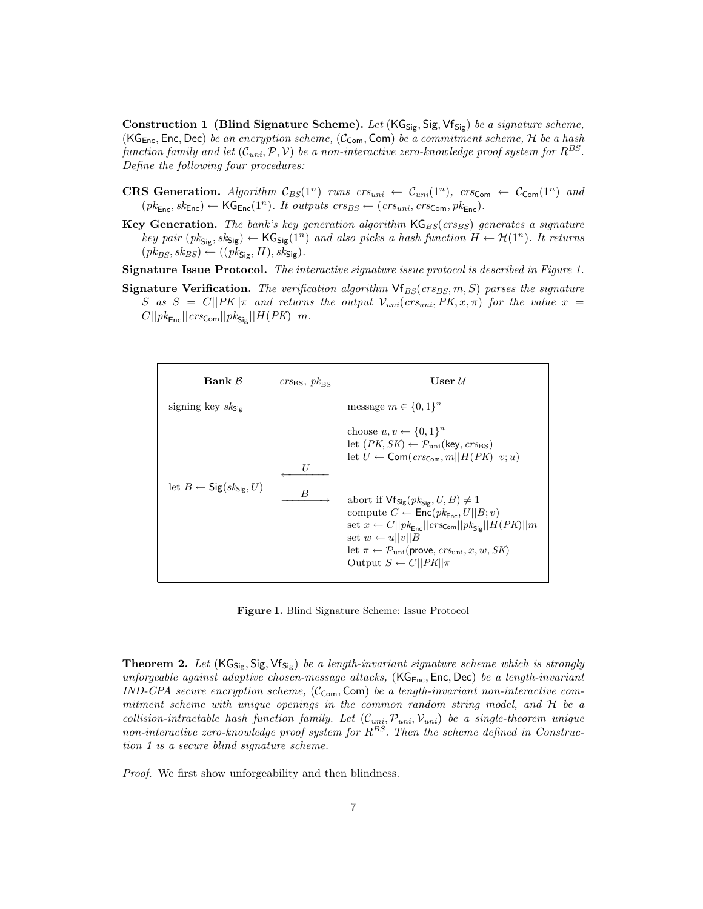Construction 1 (Blind Signature Scheme). Let  $(KG_{Sig}, Sig, Vf_{Sig})$  be a signature scheme, (KG<sub>Enc</sub>, Enc, Dec) be an encryption scheme, ( $C_{\text{Com}}$ , Com) be a commitment scheme, H be a hash function family and let  $(\mathcal{C}_{uni}, \mathcal{P}, \mathcal{V})$  be a non-interactive zero-knowledge proof system for  $R^{BS}.$ Define the following four procedures:

- CRS Generation. Algorithm  $C_{BS}(1^n)$  runs  $crs_{uni} \leftarrow C_{uni}(1^n)$ ,  $crs_{Com} \leftarrow C_{Com}(1^n)$  and  $(pk_{\text{Enc}}, sk_{\text{Enc}}) \leftarrow \text{KG}_{\text{Enc}}(1^n)$ . It outputs  $crs_{BS} \leftarrow (crs_{uni}, crs_{\text{Com}}, pk_{\text{Enc}})$ .
- **Key Generation.** The bank's key generation algorithm  $\text{KG}_{BS}(crs_{BS})$  generates a signature key pair  $(pk_{Sig}, sk_{Sig}) \leftarrow KG_{Sig}(1^n)$  and also picks a hash function  $H \leftarrow \mathcal{H}(1^n)$ . It returns  $(pk_{BS}, sk_{BS}) \leftarrow ((pk_{\mathsf{Sig}}, H), sk_{\mathsf{Sig}}).$

Signature Issue Protocol. The interactive signature issue protocol is described in Figure 1.

**Signature Verification.** The verification algorithm  $\forall f_{BS}(crs_{BS}, m, S)$  parses the signature S as  $S = C||PK||\pi$  and returns the output  $V_{uni}(crs_{uni}, PK, x, \pi)$  for the value  $x =$  $C||pk_{\mathsf{Enc}}||crs_{\mathsf{Com}}||pk_{\mathsf{Sig}}||H(PK)||m.$ 



Figure 1. Blind Signature Scheme: Issue Protocol

**Theorem 2.** Let  $(KG_{Sig}, Sig, Vf_{Sig})$  be a length-invariant signature scheme which is strongly unforgeable against adaptive chosen-message attacks,  $(KG<sub>Enc</sub>, Enc, Dec)$  be a length-invariant IND-CPA secure encryption scheme,  $(\mathcal{C}_{Com}, Com)$  be a length-invariant non-interactive commitment scheme with unique openings in the common random string model, and H be a collision-intractable hash function family. Let  $(C_{uni}, \mathcal{P}_{uni}, \mathcal{V}_{uni})$  be a single-theorem unique non-interactive zero-knowledge proof system for  $R^{BS}$ . Then the scheme defined in Construction 1 is a secure blind signature scheme.

Proof. We first show unforgeability and then blindness.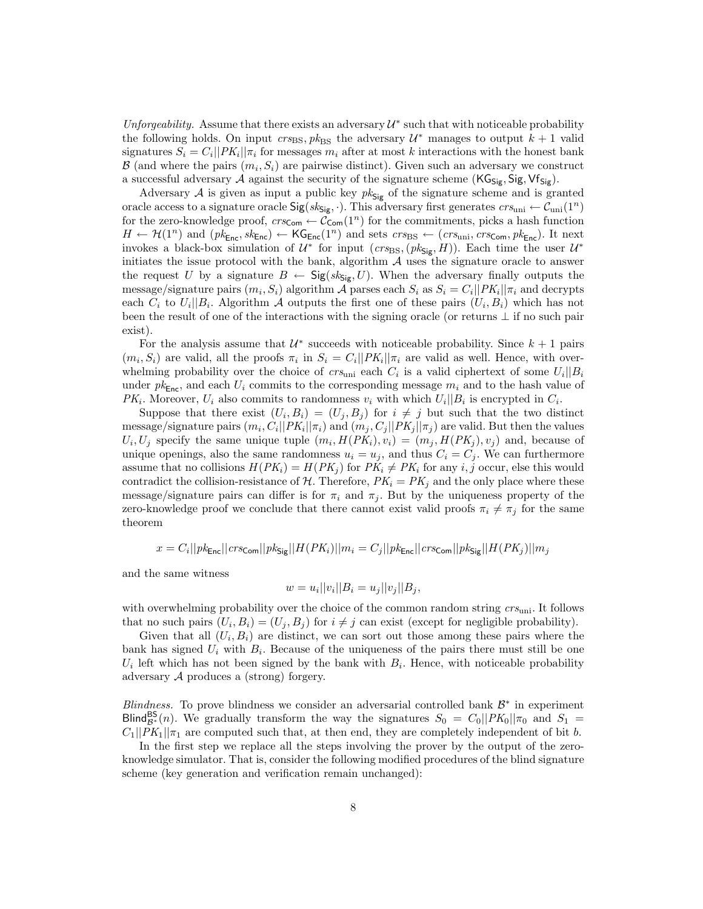Unforgeability. Assume that there exists an adversary  $\mathcal{U}^*$  such that with noticeable probability the following holds. On input  $\text{crs}_{\text{BS}}, \text{pk}_{\text{BS}}$  the adversary  $\mathcal{U}^*$  manages to output  $k+1$  valid signatures  $S_i = C_i ||PK_i|| \pi_i$  for messages  $m_i$  after at most k interactions with the honest bank  $\mathcal{B}$  (and where the pairs  $(m_i, S_i)$  are pairwise distinct). Given such an adversary we construct a successful adversary A against the security of the signature scheme  $(KG_{Sig}, Sig, Vf_{Sig})$ .

Adversary A is given as input a public key  $pk_{\mathsf{Sig}}$  of the signature scheme and is granted oracle access to a signature oracle  $Sig(s_{\kappa_{\text{Si}}}, \cdot)$ . This adversary first generates  $crs_{\text{uni}} \leftarrow \mathcal{C}_{\text{uni}}(1^n)$ for the zero-knowledge proof,  $\text{crs}_{\text{Com}} \leftarrow \mathcal{C}_{\text{Com}}(1^n)$  for the commitments, picks a hash function  $H \leftarrow \mathcal{H}(1^n)$  and  $(pk_{\text{Enc}}, sk_{\text{Enc}}) \leftarrow \mathsf{KG}_{\text{Enc}}(1^n)$  and sets  $crs_{BS} \leftarrow (crs_{\text{uni}}, crs_{\text{Com}}, pk_{\text{Enc}})$ . It next invokes a black-box simulation of  $\mathcal{U}^*$  for input  $(crs_{\text{BS}},(pk_{\text{Sig}},H))$ . Each time the user  $\mathcal{U}^*$ initiates the issue protocol with the bank, algorithm  $A$  uses the signature oracle to answer the request U by a signature  $B \leftarrow \text{Sig}(sk_{\text{Sig}}, U)$ . When the adversary finally outputs the message/signature pairs  $(m_i, S_i)$  algorithm A parses each  $S_i$  as  $S_i = C_i ||PK_i|| \pi_i$  and decrypts each  $C_i$  to  $U_i||B_i$ . Algorithm A outputs the first one of these pairs  $(U_i, B_i)$  which has not been the result of one of the interactions with the signing oracle (or returns  $\perp$  if no such pair exist).

For the analysis assume that  $\mathcal{U}^*$  succeeds with noticeable probability. Since  $k+1$  pairs  $(m_i, S_i)$  are valid, all the proofs  $\pi_i$  in  $S_i = C_i ||PK_i|| \pi_i$  are valid as well. Hence, with overwhelming probability over the choice of  $crs_{\text{uni}}$  each  $C_i$  is a valid ciphertext of some  $U_i||B_i$ under  $pk_{\text{Enc}}$ , and each  $U_i$  commits to the corresponding message  $m_i$  and to the hash value of  $PK_i$ . Moreover,  $U_i$  also commits to randomness  $v_i$  with which  $U_i||B_i$  is encrypted in  $C_i$ .

Suppose that there exist  $(U_i, B_i) = (U_j, B_j)$  for  $i \neq j$  but such that the two distinct message/signature pairs  $(m_i, C_i || PK_i || \pi_i)$  and  $(m_j, C_j || PK_j || \pi_j)$  are valid. But then the values  $U_i, U_j$  specify the same unique tuple  $(m_i, H(PK_i), v_i) = (m_j, H(PK_j), v_j)$  and, because of unique openings, also the same randomness  $u_i = u_j$ , and thus  $C_i = C_j$ . We can furthermore assume that no collisions  $H(PK_i) = H(PK_j)$  for  $PK_i \neq PK_i$  for any i, j occur, else this would contradict the collision-resistance of  $\mathcal{H}$ . Therefore,  $PK_i = PK_j$  and the only place where these message/signature pairs can differ is for  $\pi_i$  and  $\pi_j$ . But by the uniqueness property of the zero-knowledge proof we conclude that there cannot exist valid proofs  $\pi_i \neq \pi_j$  for the same theorem

$$
x = C_i||pk_{\text{Enc}}||crsc_{\text{om}}||pk_{\text{Sig}}||H(PK_i)||m_i = C_j||pk_{\text{Enc}}||crsc_{\text{om}}||pk_{\text{Sig}}||H(PK_j)||m_j
$$

and the same witness

$$
w = u_i ||v_i|| B_i = u_j ||v_j|| B_j,
$$

with overwhelming probability over the choice of the common random string  $cr_s$ <sub>uni</sub>. It follows that no such pairs  $(U_i, B_i) = (U_j, B_j)$  for  $i \neq j$  can exist (except for negligible probability).

Given that all  $(U_i, B_i)$  are distinct, we can sort out those among these pairs where the bank has signed  $U_i$  with  $B_i$ . Because of the uniqueness of the pairs there must still be one  $U_i$  left which has not been signed by the bank with  $B_i$ . Hence, with noticeable probability adversary A produces a (strong) forgery.

Blindness. To prove blindness we consider an adversarial controlled bank  $\mathcal{B}^*$  in experiment Blind $B^{\text{BS}}_{\mathcal{B}^*}(n)$ . We gradually transform the way the signatures  $S_0 = C_0||PK_0||\pi_0$  and  $S_1 =$  $C_1||PK_1||\pi_1$  are computed such that, at then end, they are completely independent of bit b.

In the first step we replace all the steps involving the prover by the output of the zeroknowledge simulator. That is, consider the following modified procedures of the blind signature scheme (key generation and verification remain unchanged):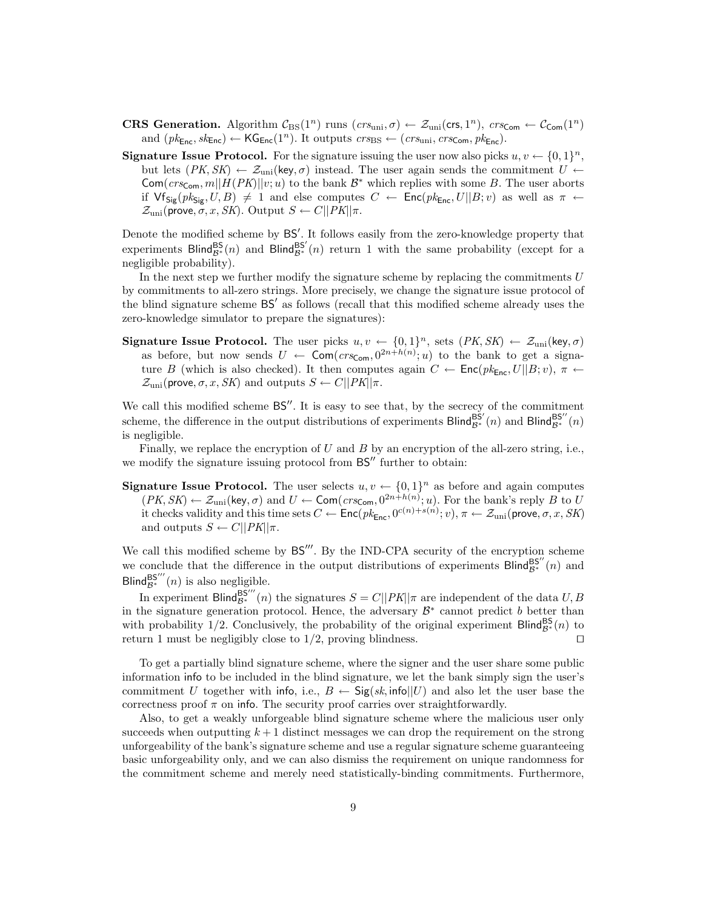- **CRS Generation.** Algorithm  $\mathcal{C}_{BS}(1^n)$  runs  $(crs_{\text{uni}}, \sigma) \leftarrow \mathcal{Z}_{\text{uni}}(cr, 1^n)$ ,  $crs_{\text{Com}} \leftarrow \mathcal{C}_{\text{Com}}(1^n)$ and  $(pk_{\mathsf{Enc}}, sk_{\mathsf{Enc}}) \leftarrow \mathsf{KG}_{\mathsf{Enc}}(1^n)$ . It outputs  $crs_{\mathsf{BS}} \leftarrow (crs_{\text{uni}}, crs_{\mathsf{Com}}, pk_{\mathsf{Enc}})$ .
- **Signature Issue Protocol.** For the signature issuing the user now also picks  $u, v \leftarrow \{0, 1\}^n$ , but lets  $(PK, SK) \leftarrow \mathcal{Z}_{\text{uni}}(\text{key}, \sigma)$  instead. The user again sends the commitment  $U \leftarrow$  $Com(crs_{Com}, m||H(PK)||v; u)$  to the bank  $\mathcal{B}^*$  which replies with some B. The user aborts if  $\forall f_{\mathsf{Sig}}(pk_{\mathsf{Sig}}, U, B) \neq 1$  and else computes  $C \leftarrow \mathsf{Enc}(pk_{\mathsf{Enc}}, U||B; v)$  as well as  $\pi \leftarrow$  $\mathcal{Z}_{\text{uni}}(\text{prove}, \sigma, x, SK)$ . Output  $S \leftarrow C||PK||\pi$ .

Denote the modified scheme by  $BS'$ . It follows easily from the zero-knowledge property that experiments Blind<sup>BS</sup><sub> $g^*(n)$ </sub> and Blind<sup>BS'</sup> $(n)$  return 1 with the same probability (except for a negligible probability).

In the next step we further modify the signature scheme by replacing the commitments  $U$ by commitments to all-zero strings. More precisely, we change the signature issue protocol of the blind signature scheme BS' as follows (recall that this modified scheme already uses the zero-knowledge simulator to prepare the signatures):

**Signature Issue Protocol.** The user picks  $u, v \leftarrow \{0, 1\}^n$ , sets  $(PK, SK) \leftarrow \mathcal{Z}_{uni}$ (key,  $\sigma$ ) as before, but now sends  $U \leftarrow \textsf{Com}(crs_{\textsf{Com}}, 0^{2n+h(n)}; u)$  to the bank to get a signature B (which is also checked). It then computes again  $C \leftarrow \text{Enc}(pk_{\text{Enc}}, U||B; v)$ ,  $\pi \leftarrow$  $\mathcal{Z}_{\text{uni}}(\text{prove}, \sigma, x, SK)$  and outputs  $S \leftarrow C||PK||\pi$ .

We call this modified scheme  $BS''$ . It is easy to see that, by the secrecy of the commitment scheme, the difference in the output distributions of experiments Blind $B^{\text{SS}'}_{\text{gs}^*}(n)$  and Blind $B^{\text{SS}''}_{\text{gs}^*}(n)$ is negligible.

Finally, we replace the encryption of U and B by an encryption of the all-zero string, i.e., we modify the signature issuing protocol from  $BS''$  further to obtain:

**Signature Issue Protocol.** The user selects  $u, v \leftarrow \{0, 1\}^n$  as before and again computes  $(PK, SK) \leftarrow \mathcal{Z}_{\text{uni}}(\text{key}, \sigma)$  and  $U \leftarrow \text{Com}(crs_{\text{Com}}, 0^{2n+h(n)}; u)$ . For the bank's reply B to U it checks validity and this time sets  $C \leftarrow \mathsf{Enc}(pk_{\mathsf{Enc}}, 0^{c(n)+s(n)}; v), \pi \leftarrow \mathcal{Z}_{\text{uni}}(\mathsf{prove}, \sigma, x, SK)$ and outputs  $S \leftarrow C||PK||\pi$ .

We call this modified scheme by  $BS'''$ . By the IND-CPA security of the encryption scheme we conclude that the difference in the output distributions of experiments Blind $B^{\text{SS}'}_{\text{gs}^*}(n)$  and Blind $B^{\text{BS}'''}_{\text{B}^*}(n)$  is also negligible.

In experiment Blind $B_8^{\text{BS}'''}(n)$  the signatures  $S = C||PK||\pi$  are independent of the data  $U, B$ in the signature generation protocol. Hence, the adversary  $\mathcal{B}^*$  cannot predict b better than with probability 1/2. Conclusively, the probability of the original experiment Blind<sup>Bs</sup><sup>\*</sup>(n) to return 1 must be negligibly close to  $1/2$ , proving blindness.

To get a partially blind signature scheme, where the signer and the user share some public information info to be included in the blind signature, we let the bank simply sign the user's commitment U together with info, i.e.,  $B \leftarrow \text{Sig}(sk, \text{info}||U)$  and also let the user base the correctness proof  $\pi$  on info. The security proof carries over straightforwardly.

Also, to get a weakly unforgeable blind signature scheme where the malicious user only succeeds when outputting  $k+1$  distinct messages we can drop the requirement on the strong unforgeability of the bank's signature scheme and use a regular signature scheme guaranteeing basic unforgeability only, and we can also dismiss the requirement on unique randomness for the commitment scheme and merely need statistically-binding commitments. Furthermore,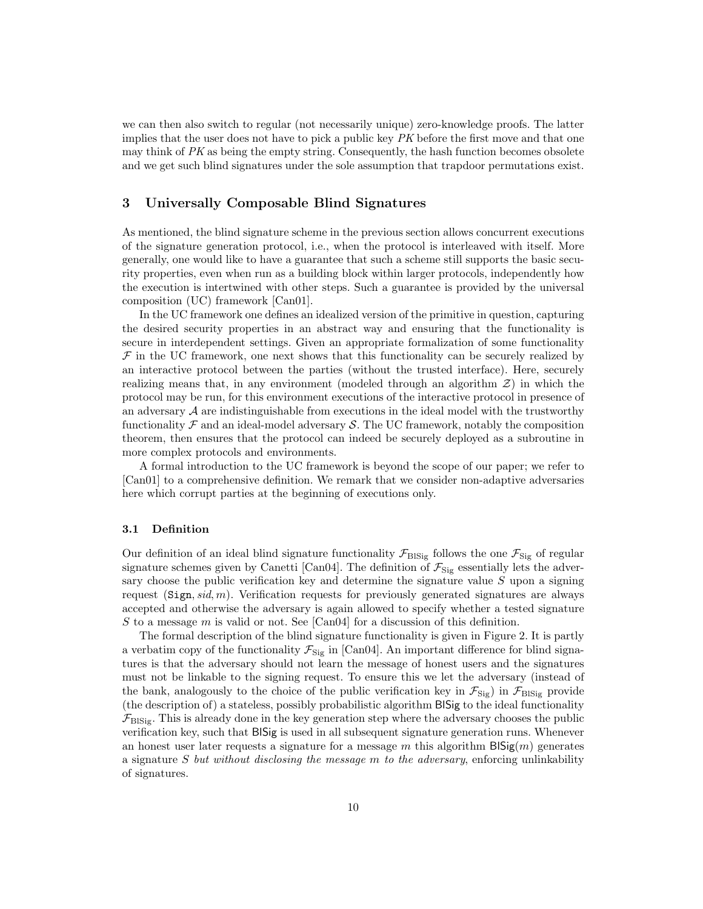we can then also switch to regular (not necessarily unique) zero-knowledge proofs. The latter implies that the user does not have to pick a public key PK before the first move and that one may think of  $PK$  as being the empty string. Consequently, the hash function becomes obsolete and we get such blind signatures under the sole assumption that trapdoor permutations exist.

# 3 Universally Composable Blind Signatures

As mentioned, the blind signature scheme in the previous section allows concurrent executions of the signature generation protocol, i.e., when the protocol is interleaved with itself. More generally, one would like to have a guarantee that such a scheme still supports the basic security properties, even when run as a building block within larger protocols, independently how the execution is intertwined with other steps. Such a guarantee is provided by the universal composition (UC) framework [Can01].

In the UC framework one defines an idealized version of the primitive in question, capturing the desired security properties in an abstract way and ensuring that the functionality is secure in interdependent settings. Given an appropriate formalization of some functionality  $\mathcal F$  in the UC framework, one next shows that this functionality can be securely realized by an interactive protocol between the parties (without the trusted interface). Here, securely realizing means that, in any environment (modeled through an algorithm  $\mathcal{Z}$ ) in which the protocol may be run, for this environment executions of the interactive protocol in presence of an adversary  $A$  are indistinguishable from executions in the ideal model with the trustworthy functionality  $\mathcal F$  and an ideal-model adversary  $\mathcal S$ . The UC framework, notably the composition theorem, then ensures that the protocol can indeed be securely deployed as a subroutine in more complex protocols and environments.

A formal introduction to the UC framework is beyond the scope of our paper; we refer to [Can01] to a comprehensive definition. We remark that we consider non-adaptive adversaries here which corrupt parties at the beginning of executions only.

## 3.1 Definition

Our definition of an ideal blind signature functionality  $\mathcal{F}_{\text{BISig}}$  follows the one  $\mathcal{F}_{\text{Sig}}$  of regular signature schemes given by Canetti [Can04]. The definition of  $\mathcal{F}_{\text{Sig}}$  essentially lets the adversary choose the public verification key and determine the signature value  $S$  upon a signing request  $(Sign, sid, m)$ . Verification requests for previously generated signatures are always accepted and otherwise the adversary is again allowed to specify whether a tested signature S to a message  $m$  is valid or not. See [Can04] for a discussion of this definition.

The formal description of the blind signature functionality is given in Figure 2. It is partly a verbatim copy of the functionality  $\mathcal{F}_{\text{Sig}}$  in [Can04]. An important difference for blind signatures is that the adversary should not learn the message of honest users and the signatures must not be linkable to the signing request. To ensure this we let the adversary (instead of the bank, analogously to the choice of the public verification key in  $\mathcal{F}_{\text{Sig}}$  in  $\mathcal{F}_{\text{BISig}}$  provide (the description of) a stateless, possibly probabilistic algorithm BlSig to the ideal functionality  $\mathcal{F}_{\text{BISig}}$ . This is already done in the key generation step where the adversary chooses the public verification key, such that BlSig is used in all subsequent signature generation runs. Whenever an honest user later requests a signature for a message m this algorithm  $B\text{Sig}(m)$  generates a signature S but without disclosing the message m to the adversary, enforcing unlinkability of signatures.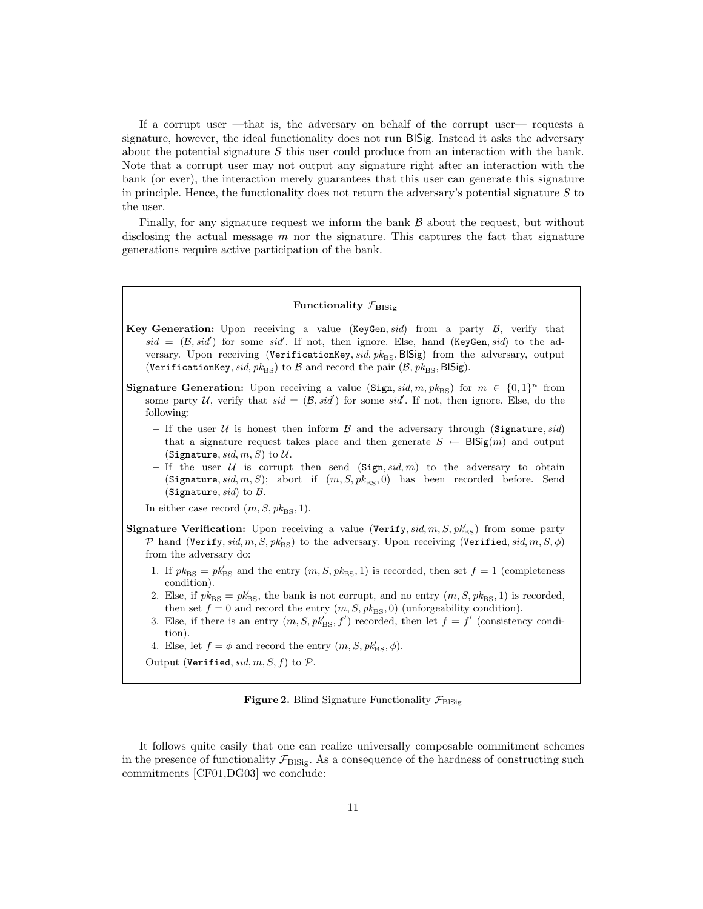If a corrupt user —that is, the adversary on behalf of the corrupt user— requests a signature, however, the ideal functionality does not run BlSig. Instead it asks the adversary about the potential signature  $S$  this user could produce from an interaction with the bank. Note that a corrupt user may not output any signature right after an interaction with the bank (or ever), the interaction merely guarantees that this user can generate this signature in principle. Hence, the functionality does not return the adversary's potential signature  $S$  to the user.

Finally, for any signature request we inform the bank  $\beta$  about the request, but without disclosing the actual message  $m$  nor the signature. This captures the fact that signature generations require active participation of the bank.

#### Functionality  $\mathcal{F}_{\text{BISig}}$

- **Key Generation:** Upon receiving a value (KeyGen, sid) from a party  $\mathcal{B}$ , verify that  $sid = (B, sid')$  for some sid. If not, then ignore. Else, hand (KeyGen, sid) to the adversary. Upon receiving (VerificationKey,  $sid, pk_{BS}$ , BlSig) from the adversary, output (VerificationKey, sid,  $pk_{\text{BS}}$ ) to B and record the pair  $(\mathcal{B}, pk_{\text{BS}}, \text{BISig}).$
- **Signature Generation:** Upon receiving a value (Sign, sid, m,  $pk_{BS}$ ) for  $m \in \{0,1\}^n$  from some party U, verify that  $sid = (\mathcal{B}, sid')$  for some sid'. If not, then ignore. Else, do the following:
	- If the user  $U$  is honest then inform  $B$  and the adversary through (Signature, sid) that a signature request takes place and then generate  $S \leftarrow \text{BISig}(m)$  and output (Signature, sid, m, S) to  $U$ .
	- If the user U is corrupt then send  $(Sign, sid, m)$  to the adversary to obtain (Signature, sid, m, S); abort if  $(m, S, pk_{BS}, 0)$  has been recorded before. Send (Signature, sid) to  $\beta$ .
	- In either case record  $(m, S, \mathit{pk}_{\text{BS}}, 1)$ .
- Signature Verification: Upon receiving a value (Verify,  $sid, m, S, pk'_{BS}$ ) from some party  $\mathcal P$  hand (Verify, sid, m, S,  $pk'_{\rm BS}$ ) to the adversary. Upon receiving (Verified, sid, m, S,  $\phi$ ) from the adversary do:
	- 1. If  $pk_{BS} = pk'_{BS}$  and the entry  $(m, S, pk_{BS}, 1)$  is recorded, then set  $f = 1$  (completeness condition).
	- 2. Else, if  $pk_{\text{BS}} = pk_{\text{BS}}'$ , the bank is not corrupt, and no entry  $(m, S, pk_{\text{BS}}, 1)$  is recorded, then set  $f = 0$  and record the entry  $(m, S, p k_{\text{BS}}, 0)$  (unforgeability condition).
	- 3. Else, if there is an entry  $(m, S, pk'_{BS}, f')$  recorded, then let  $f = f'$  (consistency condition).
	- 4. Else, let  $f = \phi$  and record the entry  $(m, S, \text{pk}_{\text{BS}}', \phi)$ .

Output (Verified, sid, m, S, f) to  $P$ .

Figure 2. Blind Signature Functionality  $\mathcal{F}_{\text{BISig}}$ 

It follows quite easily that one can realize universally composable commitment schemes in the presence of functionality  $\mathcal{F}_{\text{BIsie}}$ . As a consequence of the hardness of constructing such commitments [CF01,DG03] we conclude: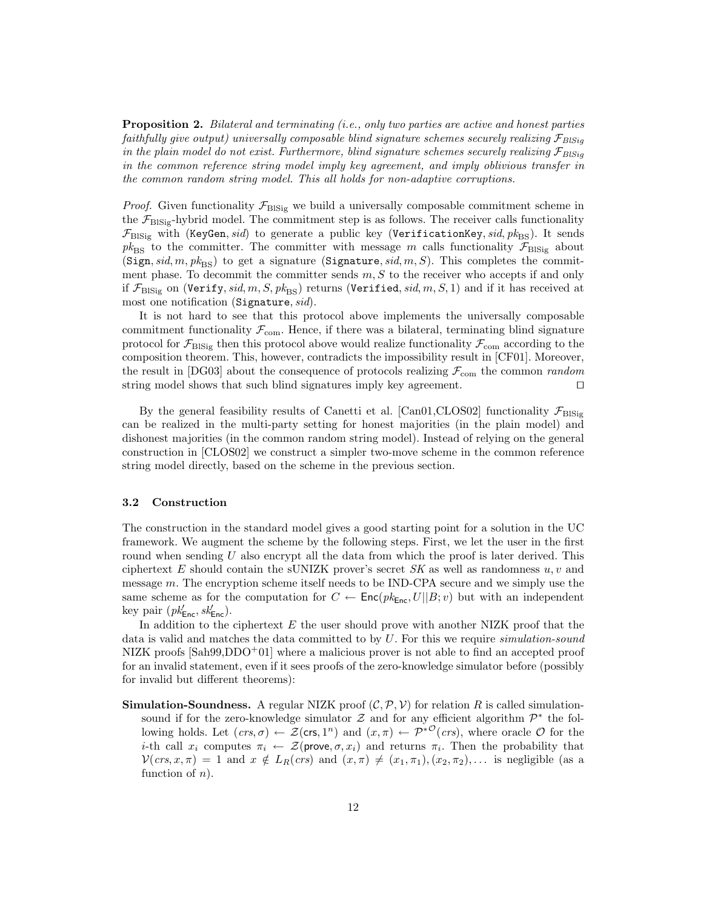Proposition 2. Bilateral and terminating (i.e., only two parties are active and honest parties faithfully give output) universally composable blind signature schemes securely realizing  $\mathcal{F}_{BlSio}$ in the plain model do not exist. Furthermore, blind signature schemes securely realizing  $\mathcal{F}_{Blsig}$ in the common reference string model imply key agreement, and imply oblivious transfer in the common random string model. This all holds for non-adaptive corruptions.

*Proof.* Given functionality  $\mathcal{F}_{\text{BISig}}$  we build a universally composable commitment scheme in the  $\mathcal{F}_{\text{BISig}}$ -hybrid model. The commitment step is as follows. The receiver calls functionality  $\mathcal{F}_{\text{BISig}}$  with (KeyGen, sid) to generate a public key (VerificationKey, sid,  $pk_{\text{BS}}$ ). It sends  $pk_{BS}$  to the committer. The committer with message m calls functionality  $\mathcal{F}_{BISig}$  about (Sign, sid, m,  $pk_{\text{BS}}$ ) to get a signature (Signature, sid, m, S). This completes the commitment phase. To decommit the committer sends  $m, S$  to the receiver who accepts if and only if  $\mathcal{F}_{\text{BISig}}$  on (Verify, sid, m, S, p $k_{\text{BS}}$ ) returns (Verified, sid, m, S, 1) and if it has received at most one notification (Signature, sid).

It is not hard to see that this protocol above implements the universally composable commitment functionality  $\mathcal{F}_{com}$ . Hence, if there was a bilateral, terminating blind signature protocol for  $\mathcal{F}_{\text{BISig}}$  then this protocol above would realize functionality  $\mathcal{F}_{\text{com}}$  according to the composition theorem. This, however, contradicts the impossibility result in [CF01]. Moreover, the result in [DG03] about the consequence of protocols realizing  $\mathcal{F}_{com}$  the common *random* string model shows that such blind signatures imply key agreement.  $\square$ 

By the general feasibility results of Canetti et al. [Can01,CLOS02] functionality  $\mathcal{F}_{\text{BIsie}}$ can be realized in the multi-party setting for honest majorities (in the plain model) and dishonest majorities (in the common random string model). Instead of relying on the general construction in [CLOS02] we construct a simpler two-move scheme in the common reference string model directly, based on the scheme in the previous section.

#### 3.2 Construction

The construction in the standard model gives a good starting point for a solution in the UC framework. We augment the scheme by the following steps. First, we let the user in the first round when sending  $U$  also encrypt all the data from which the proof is later derived. This ciphertext E should contain the sUNIZK prover's secret  $SK$  as well as randomness  $u, v$  and message  $m$ . The encryption scheme itself needs to be IND-CPA secure and we simply use the same scheme as for the computation for  $C \leftarrow \text{Enc}(pk_{\text{Enc}}, U||B; v)$  but with an independent key pair  $(pk'_{\text{Enc}}, sk'_{\text{Enc}})$ .

In addition to the ciphertext  $E$  the user should prove with another NIZK proof that the data is valid and matches the data committed to by U. For this we require simulation-sound NIZK proofs  $[ Sah99, DDO+01]$  where a malicious prover is not able to find an accepted proof for an invalid statement, even if it sees proofs of the zero-knowledge simulator before (possibly for invalid but different theorems):

**Simulation-Soundness.** A regular NIZK proof  $(C, \mathcal{P}, V)$  for relation R is called simulationsound if for the zero-knowledge simulator  $\mathcal Z$  and for any efficient algorithm  $\mathcal P^*$  the following holds. Let  $ps, \sigma) \leftarrow \mathcal{Z}(\mathsf{crs}, 1^n)$  and  $(x, \pi) \leftarrow \mathcal{P}^{*O}(crs)$ , where oracle  $\mathcal{O}$  for the *i*-th call  $x_i$  computes  $\pi_i \leftarrow \mathcal{Z}(\text{prove}, \sigma, x_i)$  and returns  $\pi_i$ . Then the probability that  $V(crs, x, \pi) = 1$  and  $x \notin L_R(crs)$  and  $(x, \pi) \neq (x_1, \pi_1), (x_2, \pi_2), \ldots$  is negligible (as a function of  $n$ ).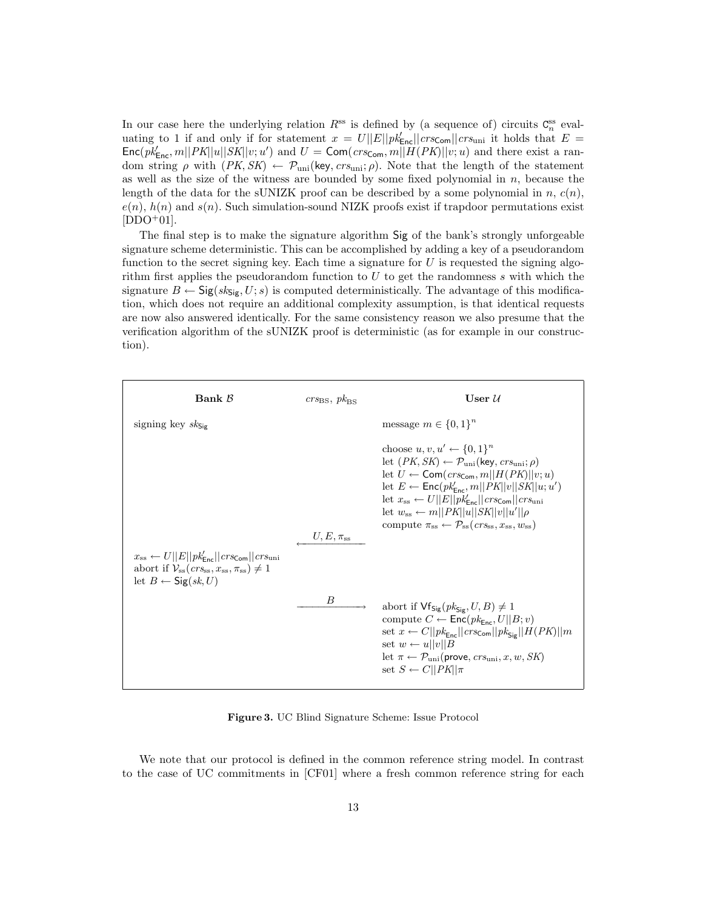In our case here the underlying relation  $R^{ss}$  is defined by (a sequence of) circuits  $C_n^{ss}$  evaluating to 1 if and only if for statement  $x = U||E||pk'_{\text{Enc}}||crs_{\text{Com}}||crs_{\text{uni}}$  it holds that  $E =$  $\textsf{Enc}(pk_{\textsf{Enc}}'_{\textsf{Enc}}|PK||u||SK||v;u')$  and  $U = \textsf{Com}(crs_{\textsf{Com}}, m||H(PK)||v;u)$  and there exist a random string  $\rho$  with  $(PK, SK) \leftarrow \mathcal{P}_{\text{uni}}(\text{key}, crs_{\text{uni}}; \rho)$ . Note that the length of the statement as well as the size of the witness are bounded by some fixed polynomial in n, because the length of the data for the sUNIZK proof can be described by a some polynomial in n,  $c(n)$ .  $e(n)$ ,  $h(n)$  and  $s(n)$ . Such simulation-sound NIZK proofs exist if trapdoor permutations exist  $[DDO<sup>+</sup>01].$ 

The final step is to make the signature algorithm Sig of the bank's strongly unforgeable signature scheme deterministic. This can be accomplished by adding a key of a pseudorandom function to the secret signing key. Each time a signature for  $U$  is requested the signing algorithm first applies the pseudorandom function to  $U$  to get the randomness  $s$  with which the signature  $B \leftarrow \text{Sig}(sk_{\text{Sig}}, U; s)$  is computed deterministically. The advantage of this modification, which does not require an additional complexity assumption, is that identical requests are now also answered identically. For the same consistency reason we also presume that the verification algorithm of the sUNIZK proof is deterministic (as for example in our construction).

| Bank $\beta$                                                                                                                                                                      | $crs_{BS}, \, pk_{BS}$ | User $\mathcal U$                                                                                                                                                                                                                                                                                                                                                                                                                                                                                           |
|-----------------------------------------------------------------------------------------------------------------------------------------------------------------------------------|------------------------|-------------------------------------------------------------------------------------------------------------------------------------------------------------------------------------------------------------------------------------------------------------------------------------------------------------------------------------------------------------------------------------------------------------------------------------------------------------------------------------------------------------|
| signing key $sk_{\text{Si}_{\text{F}}}$                                                                                                                                           |                        | message $m \in \{0,1\}^n$                                                                                                                                                                                                                                                                                                                                                                                                                                                                                   |
|                                                                                                                                                                                   | $U, E, \pi_{ss}$       | choose $u, v, u' \leftarrow \{0, 1\}^n$<br>let $(PK, SK) \leftarrow \mathcal{P}_{\text{uni}}(\text{key}, crs_{\text{uni}}; \rho)$<br>let $U \leftarrow \textsf{Com}(crs_{\textsf{Com}}, m  H(PK)  v; u)$<br>let $E \leftarrow \mathsf{Enc}(pk'_{\mathsf{Enc}}, m  PK  v  SK  u; u')$<br>let $x_{ss} \leftarrow U  E  pk'_{\text{Enc}}  crs_{\text{Cem}}  crs_{\text{uni}}$<br>let $w_{ss} \leftarrow m  PK  u  SK  v  u'  \rho$<br>compute $\pi_{ss} \leftarrow \mathcal{P}_{ss}(crs_{ss}, x_{ss}, w_{ss})$ |
| $x_{ss} \leftarrow U  E  pk'_{\text{Enc}}  crs_{\text{Com}}  crs_{\text{uni}}$<br>abort if $\mathcal{V}_{ss}(crs_{ss}, x_{ss}, \pi_{ss}) \neq 1$<br>let $B \leftarrow$ Sig(sk, U) |                        |                                                                                                                                                                                                                                                                                                                                                                                                                                                                                                             |
|                                                                                                                                                                                   | B                      | abort if $\mathsf{Vfs}_{\mathsf{ig}}(pk_{\mathsf{Sig}}, U, B) \neq 1$<br>compute $C \leftarrow \text{Enc}(pk_{\text{Enc}}, U  B; v)$<br>set $x \leftarrow C  pk_{Enc}  crs_{Com}  pk_{Sip}  H(PK)  m$<br>set $w \leftarrow u  v  B$<br>let $\pi \leftarrow \mathcal{P}_{\text{uni}}(\text{prove},\text{crs}_{\text{uni}},x,w,\text{SK})$<br>set $S \leftarrow C  PK  \pi$                                                                                                                                   |

Figure 3. UC Blind Signature Scheme: Issue Protocol

We note that our protocol is defined in the common reference string model. In contrast to the case of UC commitments in [CF01] where a fresh common reference string for each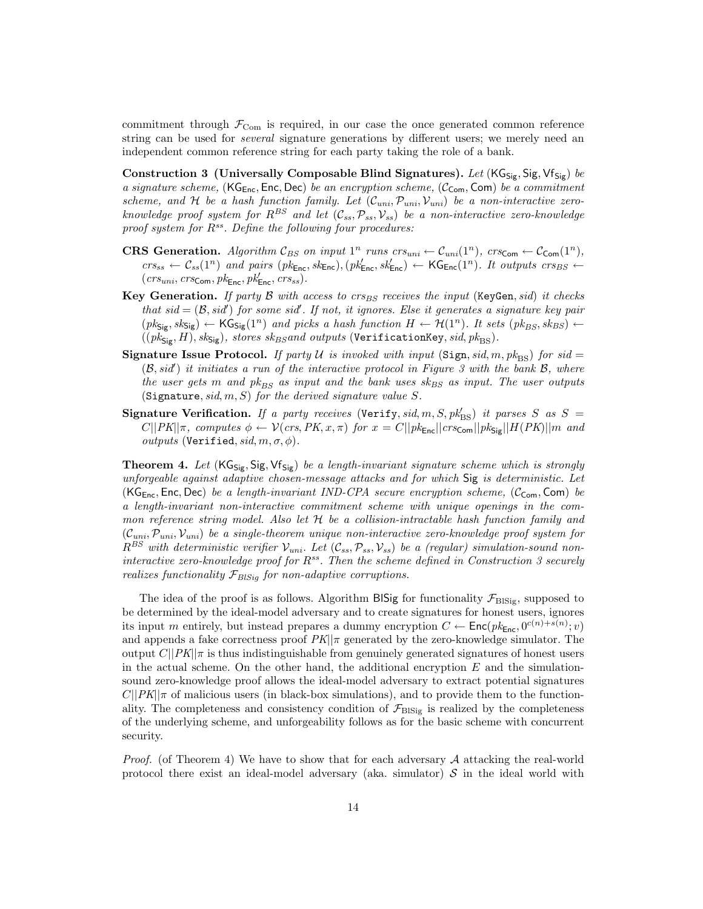commitment through  $\mathcal{F}_{\text{Com}}$  is required, in our case the once generated common reference string can be used for *several* signature generations by different users; we merely need an independent common reference string for each party taking the role of a bank.

Construction 3 (Universally Composable Blind Signatures). Let  $(KG_{Sig}, Sig, Vf_{Sig})$  be a signature scheme,  $(KG_{Enc}, Enc, Dec)$  be an encryption scheme,  $(C_{Com}, Com)$  be a commitment scheme, and H be a hash function family. Let  $(C_{uni}, \mathcal{P}_{uni}, \mathcal{V}_{uni})$  be a non-interactive zeroknowledge proof system for  $R^{BS}$  and let  $(C_{ss}, \mathcal{P}_{ss}, \mathcal{V}_{ss})$  be a non-interactive zero-knowledge proof system for  $R^{ss}$ . Define the following four procedures:

- **CRS Generation.** Algorithm  $\mathcal{C}_{BS}$  on input  $1^n$  runs  $crs_{uni} \leftarrow \mathcal{C}_{uni}(1^n)$ ,  $crs_{Com} \leftarrow \mathcal{C}_{Com}(1^n)$ ,  $crs_{ss} \leftarrow C_{ss}(1^n)$  and pairs  $(pk_{\text{Enc}}, sk_{\text{Enc}}), (pk_{\text{Enc}}', sk_{\text{Enc}}') \leftarrow \text{KG}_{\text{Enc}}(1^n)$ . It outputs  $crs_{BS} \leftarrow$  $(crs_{uni}, crs_{Com}, pk_{Enc}, pk'_{Enc}, crs_{ss}).$
- Key Generation. If party B with access to  $crs_{BS}$  receives the input (KeyGen, sid) it checks that  $sid = (\mathcal{B}, sid')$  for some sid'. If not, it ignores. Else it generates a signature key pair  $(pk_{\text{Sig}}, sk_{\text{Sig}}) \leftarrow \text{KG}_{\text{Sig}}(1^n)$  and picks a hash function  $H \leftarrow \mathcal{H}(1^n)$ . It sets  $(pk_{BS}, sk_{BS}) \leftarrow$  $((pk_{\text{Sig}}, H), sk_{\text{Sig}}),$  stores  $sk_{BS}$ and outputs (VerificationKey, sid,  $pk_{\text{BS}}$ ).
- **Signature Issue Protocol.** If party U is invoked with input (Sign, sid, m,  $pk_{BS}$ ) for sid =  $(\mathcal{B}, sid')$  it initiates a run of the interactive protocol in Figure 3 with the bank  $\mathcal{B}$ , where the user gets m and  $pk_{BS}$  as input and the bank uses  $sk_{BS}$  as input. The user outputs (Signature, sid,  $m, S$ ) for the derived signature value S.
- Signature Verification. If a party receives (Verify, sid, m, S, pk<sup>1</sup><sub>BS</sub>) it parses S as S =  $C||PK||\pi$ , computes  $\phi \leftarrow \mathcal{V}(crs, PK, x, \pi)$  for  $x = C||pk_{Enc}||crs_{Com}||pk_{Sig}||H(PK)||m$  and *outputs* (Verified,  $sid, m, \sigma, \phi$ ).

**Theorem 4.** Let  $(KG_{\text{Sig}}, \text{Sig}, \text{Vf}_{\text{Sig}})$  be a length-invariant signature scheme which is strongly unforgeable against adaptive chosen-message attacks and for which Sig is deterministic. Let (KG<sub>Enc</sub>, Enc, Dec) be a length-invariant IND-CPA secure encryption scheme, ( $\mathcal{C}_{Com}$ , Com) be a length-invariant non-interactive commitment scheme with unique openings in the common reference string model. Also let  $H$  be a collision-intractable hash function family and  $(C_{uni}, \mathcal{P}_{uni}, \mathcal{V}_{uni})$  be a single-theorem unique non-interactive zero-knowledge proof system for  $R^{BS}$  with deterministic verifier  $\mathcal{V}_{uni}$ . Let  $(\mathcal{C}_{ss}, \mathcal{P}_{ss}, \mathcal{V}_{ss})$  be a (regular) simulation-sound noninteractive zero-knowledge proof for  $R^{ss}$ . Then the scheme defined in Construction 3 securely realizes functionality  $\mathcal{F}_{BISia}$  for non-adaptive corruptions.

The idea of the proof is as follows. Algorithm BISig for functionality  $\mathcal{F}_{\text{BISig}}$ , supposed to be determined by the ideal-model adversary and to create signatures for honest users, ignores its input m entirely, but instead prepares a dummy encryption  $C \leftarrow \text{Enc}(pk_{\text{Enc}}, 0^{c(n)+s(n)}; v)$ and appends a fake correctness proof  $PK||\pi$  generated by the zero-knowledge simulator. The output  $C||PK||\pi$  is thus indistinguishable from genuinely generated signatures of honest users in the actual scheme. On the other hand, the additional encryption  $E$  and the simulationsound zero-knowledge proof allows the ideal-model adversary to extract potential signatures  $C||PK||\pi$  of malicious users (in black-box simulations), and to provide them to the functionality. The completeness and consistency condition of  $\mathcal{F}_{\rm BISig}$  is realized by the completeness of the underlying scheme, and unforgeability follows as for the basic scheme with concurrent security.

*Proof.* (of Theorem 4) We have to show that for each adversary  $A$  attacking the real-world protocol there exist an ideal-model adversary (aka. simulator)  $S$  in the ideal world with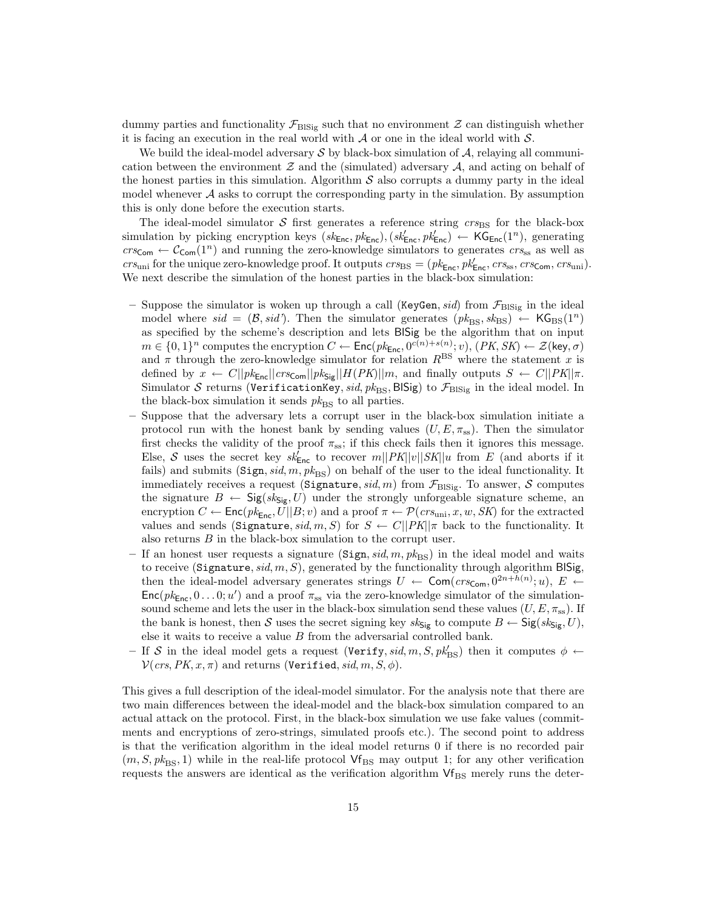dummy parties and functionality  $\mathcal{F}_{\text{BISig}}$  such that no environment  $\mathcal Z$  can distinguish whether it is facing an execution in the real world with  $A$  or one in the ideal world with  $S$ .

We build the ideal-model adversary  $\mathcal S$  by black-box simulation of  $\mathcal A$ , relaying all communication between the environment  $\mathcal Z$  and the (simulated) adversary  $\mathcal A$ , and acting on behalf of the honest parties in this simulation. Algorithm  $S$  also corrupts a dummy party in the ideal model whenever  $A$  asks to corrupt the corresponding party in the simulation. By assumption this is only done before the execution starts.

The ideal-model simulator S first generates a reference string  $\mathit{cr}_\text{BBS}$  for the black-box simulation by picking encryption keys  $(s k_{\text{Enc}}, p k_{\text{Enc}}), (s k_{\text{Enc}}', p k_{\text{Enc}}') \leftarrow \text{KG}_{\text{Enc}}(1^n)$ , generating  $crs_{\text{Com}} \leftarrow C_{\text{Com}}(1^n)$  and running the zero-knowledge simulators to generates  $crs_{\text{ss}}$  as well as  $crs_{\text{uni}}$  for the unique zero-knowledge proof. It outputs  $crs_{\text{BS}} = (pk_{\text{Enc}}, pk'_{\text{Enc}}, crs_{\text{ss}}, crs_{\text{Com}}, crs_{\text{uni}}).$ We next describe the simulation of the honest parties in the black-box simulation:

- Suppose the simulator is woken up through a call (KeyGen, sid) from  $\mathcal{F}_{\text{BISir}}$  in the ideal model where sid =  $(\mathcal{B}, sid')$ . Then the simulator generates  $(pk_{BS}, sk_{BS}) \leftarrow \mathsf{KG}_{BS}(1^n)$ as specified by the scheme's description and lets BlSig be the algorithm that on input  $m \in \{0,1\}^n$  computes the encryption  $C \leftarrow \mathsf{Enc}(pk_{\mathsf{Enc}}, 0^{c(n)+s(n)}; v)$ ,  $(PK, SK) \leftarrow \mathcal{Z}(\mathsf{key}, \sigma)$ and  $\pi$  through the zero-knowledge simulator for relation  $R<sup>BS</sup>$  where the statement x is defined by  $x \leftarrow C||pk_{\text{Enc}}||crsc_{\text{com}}||pk_{\text{Size}}||H(PK)||m$ , and finally outputs  $S \leftarrow C||PK||\pi$ . Simulator S returns (VerificationKey, sid,  $pk_{BS}$ , BISig) to  $\mathcal{F}_{BISig}$  in the ideal model. In the black-box simulation it sends  $pk_{\text{BS}}$  to all parties.
- Suppose that the adversary lets a corrupt user in the black-box simulation initiate a protocol run with the honest bank by sending values  $(U, E, \pi_{ss})$ . Then the simulator first checks the validity of the proof  $\pi_{ss}$ ; if this check fails then it ignores this message. Else, S uses the secret key  $sk_{\text{Enc}}'$  to recover  $m||PK||v||SK||u$  from E (and aborts if it fails) and submits (Sign, sid, m,  $pk_{BS}$ ) on behalf of the user to the ideal functionality. It immediately receives a request (Signature,  $sid, m$ ) from  $\mathcal{F}_{\text{BISig}}$ . To answer, S computes the signature  $B \leftarrow \text{Sig}(sk_{\text{Sig}}, U)$  under the strongly unforgeable signature scheme, an encryption  $C \leftarrow \text{Enc}(pk_{\text{Enc}}, U||B; v)$  and a proof  $\pi \leftarrow \mathcal{P}(crs_{\text{uni}}, x, w, SK)$  for the extracted values and sends (Signature, sid, m, S) for  $S \leftarrow C||PK||\pi$  back to the functionality. It also returns B in the black-box simulation to the corrupt user.
- If an honest user requests a signature  $(Sign, sid, m, pk_{BS})$  in the ideal model and waits to receive (Signature,  $sid, m, S$ ), generated by the functionality through algorithm BlSig, then the ideal-model adversary generates strings  $U \leftarrow \textsf{Com}(crs_{\textsf{Com}}, 0^{2n+h(n)}; u), E \leftarrow$  $Enc(pk_{Enc}, 0...0; u')$  and a proof  $\pi_{ss}$  via the zero-knowledge simulator of the simulationsound scheme and lets the user in the black-box simulation send these values  $(U, E, \pi_{ss})$ . If the bank is honest, then S uses the secret signing key  $sk_{\text{Sig}}$  to compute  $B \leftarrow \text{Sig}(sk_{\text{Sig}}, U)$ , else it waits to receive a value  $B$  from the adversarial controlled bank.
- If S in the ideal model gets a request  $(\text{Verify}, sid, m, S, pk'_{BS})$  then it computes  $\phi \leftarrow$  $V(crs, PK, x, \pi)$  and returns (Verified, sid, m, S,  $\phi$ ).

This gives a full description of the ideal-model simulator. For the analysis note that there are two main differences between the ideal-model and the black-box simulation compared to an actual attack on the protocol. First, in the black-box simulation we use fake values (commitments and encryptions of zero-strings, simulated proofs etc.). The second point to address is that the verification algorithm in the ideal model returns 0 if there is no recorded pair  $(m, S, \mathit{pk}_{\text{BS}}, 1)$  while in the real-life protocol  $\mathsf{Vf}_{\text{BS}}$  may output 1; for any other verification requests the answers are identical as the verification algorithm  $Vf_{BS}$  merely runs the deter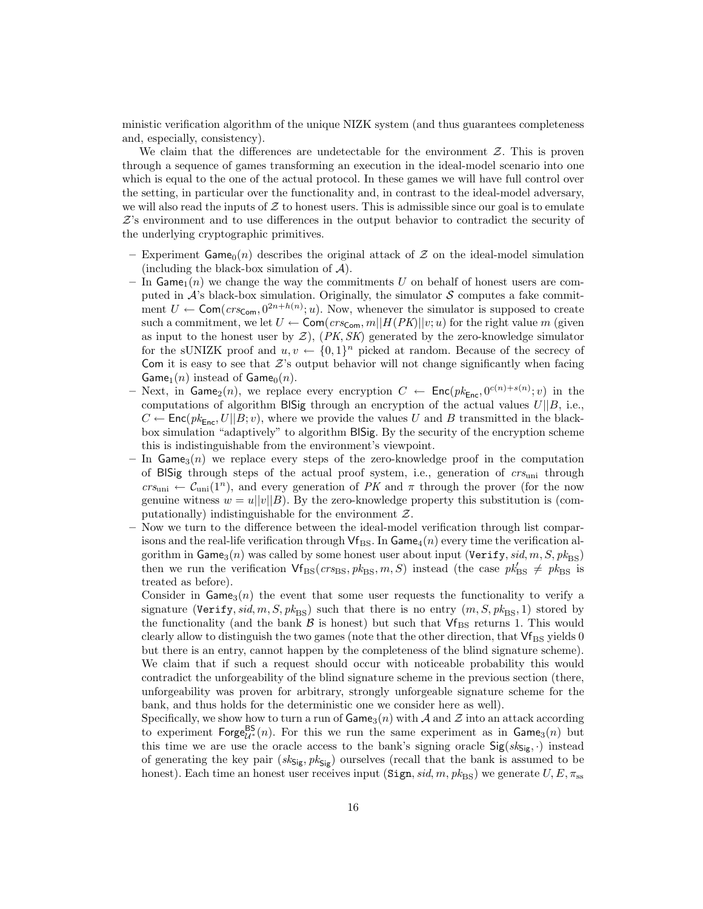ministic verification algorithm of the unique NIZK system (and thus guarantees completeness and, especially, consistency).

We claim that the differences are undetectable for the environment  $Z$ . This is proven through a sequence of games transforming an execution in the ideal-model scenario into one which is equal to the one of the actual protocol. In these games we will have full control over the setting, in particular over the functionality and, in contrast to the ideal-model adversary, we will also read the inputs of  $Z$  to honest users. This is admissible since our goal is to emulate  $Z$ 's environment and to use differences in the output behavior to contradict the security of the underlying cryptographic primitives.

- Experiment Game<sub>0</sub>(n) describes the original attack of  $\mathcal Z$  on the ideal-model simulation (including the black-box simulation of  $A$ ).
- In Game<sub>1</sub>(n) we change the way the commitments U on behalf of honest users are computed in  $\mathcal{A}$ 's black-box simulation. Originally, the simulator  $\mathcal{S}$  computes a fake commitment  $U \leftarrow \textsf{Com}(crs_{\textsf{Com}}, 0^{2n+h(n)}; u)$ . Now, whenever the simulator is supposed to create such a commitment, we let  $U \leftarrow \textsf{Com}(crs_{\textsf{Com}}, m||H(PK)||v; u)$  for the right value m (given as input to the honest user by  $Z$ ),  $(PK, SK)$  generated by the zero-knowledge simulator for the sUNIZK proof and  $u, v \leftarrow \{0, 1\}^n$  picked at random. Because of the secrecy of Com it is easy to see that  $Z$ 's output behavior will not change significantly when facing Game<sub>1</sub>(n) instead of Game<sub>0</sub>(n).
- Next, in Game<sub>2</sub>(*n*), we replace every encryption  $C$  ← Enc( $pk_{Enc}$ ,  $0^{c(n)+s(n)}$ ; *v*) in the computations of algorithm BlSig through an encryption of the actual values  $U||B$ , i.e.,  $C \leftarrow \mathsf{Enc}(pk_{\mathsf{Enc}}, U||B; v)$ , where we provide the values U and B transmitted in the blackbox simulation "adaptively" to algorithm BlSig. By the security of the encryption scheme this is indistinguishable from the environment's viewpoint.
- In  $Game_3(n)$  we replace every steps of the zero-knowledge proof in the computation of BISig through steps of the actual proof system, i.e., generation of  $crs_{\text{uni}}$  through  $crs_{\text{uni}} \leftarrow C_{\text{uni}}(1^n)$ , and every generation of PK and  $\pi$  through the prover (for the now genuine witness  $w = u||v||B$ . By the zero-knowledge property this substitution is (computationally) indistinguishable for the environment  $Z$ .
- Now we turn to the difference between the ideal-model verification through list comparisons and the real-life verification through  $Vf_{\rm BS}$ . In Game<sub>4</sub> $(n)$  every time the verification algorithm in Game<sub>3</sub>(n) was called by some honest user about input (Verify, sid, m, S,  $pk_{BS}$ ) then we run the verification  $Vf_{BS}(crs_{BS}, pk_{BS}, m, S)$  instead (the case  $pk'_{BS} \neq pk'_{BS}$  is treated as before).

Consider in  $\mathsf{Game}_3(n)$  the event that some user requests the functionality to verify a signature (Verify, sid, m, S,  $pk_{\text{BS}}$ ) such that there is no entry  $(m, S, pk_{\text{BS}}, 1)$  stored by the functionality (and the bank  $\beta$  is honest) but such that  $Vf_{BS}$  returns 1. This would clearly allow to distinguish the two games (note that the other direction, that  $Vf_{BS}$  yields 0 but there is an entry, cannot happen by the completeness of the blind signature scheme). We claim that if such a request should occur with noticeable probability this would contradict the unforgeability of the blind signature scheme in the previous section (there, unforgeability was proven for arbitrary, strongly unforgeable signature scheme for the bank, and thus holds for the deterministic one we consider here as well).

Specifically, we show how to turn a run of  $\mathsf{Game}_3(n)$  with A and Z into an attack according to experiment  $\mathsf{Forge}_{\mathcal{U}^*}^{\mathsf{BS}}(n)$ . For this we run the same experiment as in  $\mathsf{Game}_3(n)$  but this time we are use the oracle access to the bank's signing oracle  $Sig(s_{Sig}, \cdot)$  instead of generating the key pair  $(s_ks_{\text{sig}}, \, p_ks_{\text{sig}})$  ourselves (recall that the bank is assumed to be honest). Each time an honest user receives input  $(Sign, sid, m, pk_{BS})$  we generate  $U, E, \pi_{ss}$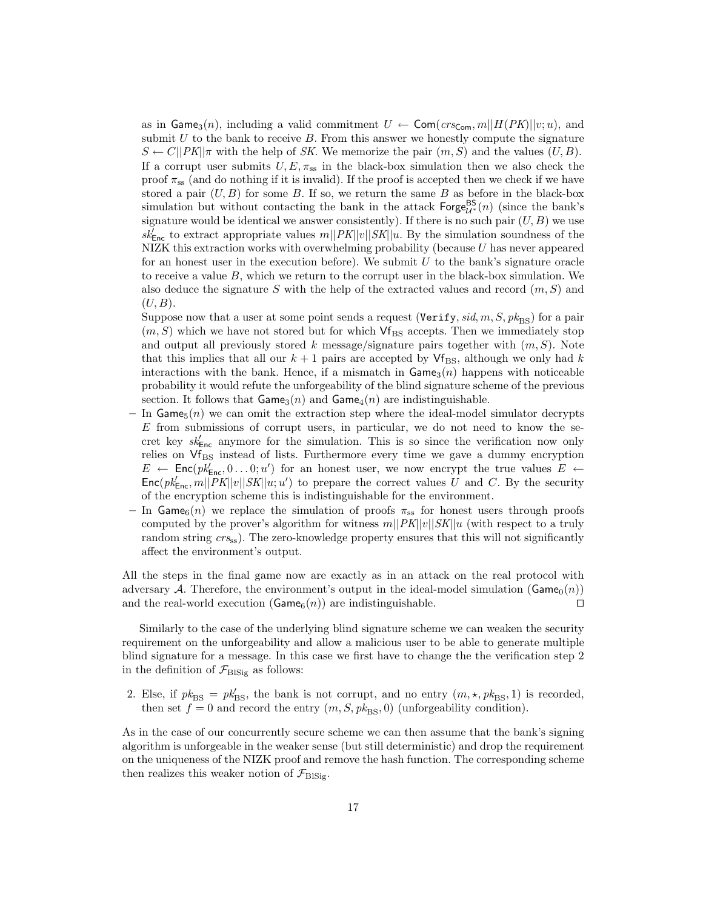as in Game<sub>3</sub> $(n)$ , including a valid commitment  $U \leftarrow \textsf{Com}(crs_{\textsf{Com}}, m||H(PK)||v; u)$ , and submit  $U$  to the bank to receive  $B$ . From this answer we honestly compute the signature  $S \leftarrow C||PK||\pi$  with the help of SK. We memorize the pair  $(m, S)$  and the values  $(U, B)$ . If a corrupt user submits  $U, E, \pi_{ss}$  in the black-box simulation then we also check the proof  $\pi_{ss}$  (and do nothing if it is invalid). If the proof is accepted then we check if we have stored a pair  $(U, B)$  for some B. If so, we return the same B as before in the black-box simulation but without contacting the bank in the attack  $\mathsf{Forge}_{\mathcal{U}^*}^{\mathsf{BS}}(n)$  (since the bank's signature would be identical we answer consistently). If there is no such pair  $(U, B)$  we use  $sk_{\text{Enc}}^{\prime}$  to extract appropriate values  $m||PK||v||SK||u$ . By the simulation soundness of the NIZK this extraction works with overwhelming probability (because  $U$  has never appeared for an honest user in the execution before). We submit  $U$  to the bank's signature oracle to receive a value  $B$ , which we return to the corrupt user in the black-box simulation. We also deduce the signature S with the help of the extracted values and record  $(m, S)$  and  $(U, B)$ .

Suppose now that a user at some point sends a request (Verify, sid, m, S,  $pk_{BS}$ ) for a pair  $(m, S)$  which we have not stored but for which  $\mathsf{Vf}_{\text{BS}}$  accepts. Then we immediately stop and output all previously stored k message/signature pairs together with  $(m, S)$ . Note that this implies that all our  $k + 1$  pairs are accepted by  $\mathsf{Vf}_{\mathsf{BS}}$ , although we only had k interactions with the bank. Hence, if a mismatch in  $\mathsf{Game}_3(n)$  happens with noticeable probability it would refute the unforgeability of the blind signature scheme of the previous section. It follows that  $\mathsf{Game}_3(n)$  and  $\mathsf{Game}_4(n)$  are indistinguishable.

- In Game<sub>5</sub> $(n)$  we can omit the extraction step where the ideal-model simulator decrypts  $E$  from submissions of corrupt users, in particular, we do not need to know the secret key  $sk_{\text{Enc}}^{\prime}$  anymore for the simulation. This is so since the verification now only relies on  $Vf_{BS}$  instead of lists. Furthermore every time we gave a dummy encryption  $E \leftarrow \mathsf{Enc}(pk_{\mathsf{Enc}}^l, 0 \dots 0; u')$  for an honest user, we now encrypt the true values  $E \leftarrow$  $\textsf{Enc}(pk_{\textsf{Enc}}'_{\textsf{Enc}}[m||PK]|v||SK||u;u')$  to prepare the correct values U and C. By the security of the encryption scheme this is indistinguishable for the environment.
- In Game<sub>6</sub>(n) we replace the simulation of proofs  $\pi_{ss}$  for honest users through proofs computed by the prover's algorithm for witness  $m||PK||v||SK||u$  (with respect to a truly random string  $cr_{ss}$ ). The zero-knowledge property ensures that this will not significantly affect the environment's output.

All the steps in the final game now are exactly as in an attack on the real protocol with adversary A. Therefore, the environment's output in the ideal-model simulation ( $\text{Game}_0(n)$ ) and the real-world execution ( $\text{Game}_6(n)$ ) are indistinguishable.

Similarly to the case of the underlying blind signature scheme we can weaken the security requirement on the unforgeability and allow a malicious user to be able to generate multiple blind signature for a message. In this case we first have to change the the verification step 2 in the definition of  $\mathcal{F}_{\text{BISig}}$  as follows:

2. Else, if  $pk_{\text{BS}} = pk'_{\text{BS}}$ , the bank is not corrupt, and no entry  $(m, \star, pk_{\text{BS}}, 1)$  is recorded, then set  $f = 0$  and record the entry  $(m, S, pk_{BS}, 0)$  (unforgeability condition).

As in the case of our concurrently secure scheme we can then assume that the bank's signing algorithm is unforgeable in the weaker sense (but still deterministic) and drop the requirement on the uniqueness of the NIZK proof and remove the hash function. The corresponding scheme then realizes this weaker notion of  $\mathcal{F}_{\text{BISig}}$ .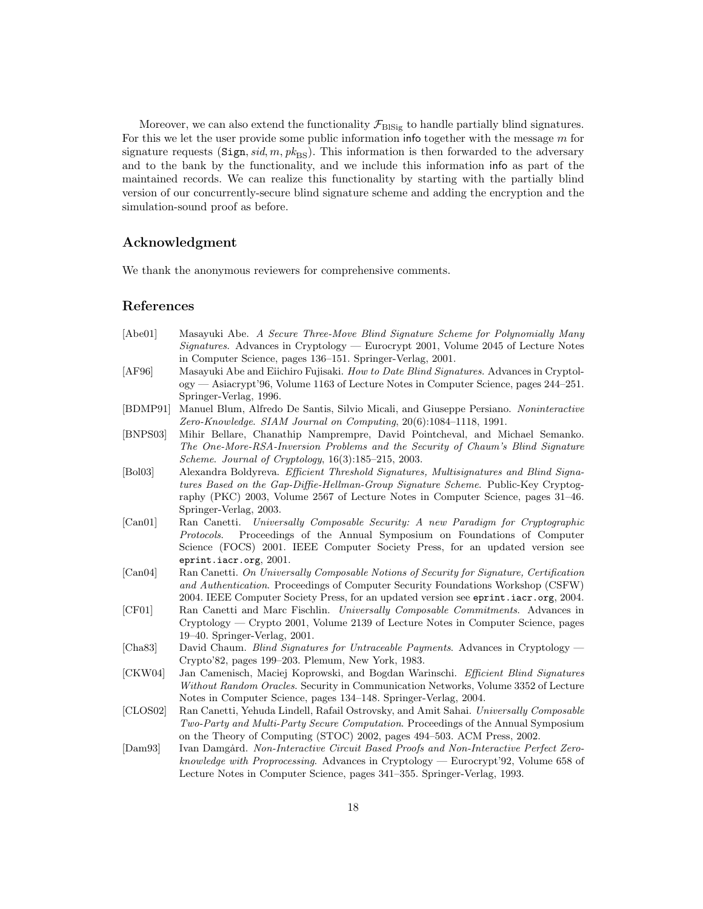Moreover, we can also extend the functionality  $\mathcal{F}_{\text{BISig}}$  to handle partially blind signatures. For this we let the user provide some public information info together with the message m for signature requests (Sign, sid, m,  $pk_{\text{BS}}$ ). This information is then forwarded to the adversary and to the bank by the functionality, and we include this information info as part of the maintained records. We can realize this functionality by starting with the partially blind version of our concurrently-secure blind signature scheme and adding the encryption and the simulation-sound proof as before.

# Acknowledgment

We thank the anonymous reviewers for comprehensive comments.

# References

| [Abe01]  | Masayuki Abe. A Secure Three-Move Blind Signature Scheme for Polynomially Many<br><i>Signatures.</i> Advances in Cryptology — Eurocrypt 2001, Volume 2045 of Lecture Notes |
|----------|----------------------------------------------------------------------------------------------------------------------------------------------------------------------------|
|          | in Computer Science, pages 136–151. Springer-Verlag, 2001.                                                                                                                 |
| [AF96]   | Masayuki Abe and Eiichiro Fujisaki. How to Date Blind Signatures. Advances in Cryptol-                                                                                     |
|          | ogy — Asiacrypt'96, Volume 1163 of Lecture Notes in Computer Science, pages 244–251.                                                                                       |
|          | Springer-Verlag, 1996.                                                                                                                                                     |
| [BDMP91] | Manuel Blum, Alfredo De Santis, Silvio Micali, and Giuseppe Persiano. Noninteractive                                                                                       |
|          | Zero-Knowledge. SIAM Journal on Computing, 20(6):1084-1118, 1991.                                                                                                          |
| [BNPS03] | Mihir Bellare, Chanathip Namprempre, David Pointcheval, and Michael Semanko.                                                                                               |
|          | The One-More-RSA-Inversion Problems and the Security of Chaum's Blind Signature                                                                                            |
|          | <i>Scheme. Journal of Cryptology</i> , $16(3):185-215$ , 2003.                                                                                                             |
| [Bo103]  | Alexandra Boldyreva. Efficient Threshold Signatures, Multisignatures and Blind Signa-                                                                                      |
|          | tures Based on the Gap-Diffie-Hellman-Group Signature Scheme. Public-Key Cryptog-                                                                                          |
|          | raphy (PKC) 2003, Volume 2567 of Lecture Notes in Computer Science, pages 31-46.                                                                                           |
|          | Springer-Verlag, 2003.                                                                                                                                                     |
| [Can01]  | Ran Canetti. Universally Composable Security: A new Paradigm for Cryptographic                                                                                             |
|          | Proceedings of the Annual Symposium on Foundations of Computer<br>Protocols.                                                                                               |
|          | Science (FOCS) 2001. IEEE Computer Society Press, for an updated version see                                                                                               |
|          | eprint.iacr.org, $2001$ .                                                                                                                                                  |
| [Can04]  | Ran Canetti. On Universally Composable Notions of Security for Signature, Certification                                                                                    |
|          | and Authentication. Proceedings of Computer Security Foundations Workshop (CSFW)                                                                                           |
|          | 2004. IEEE Computer Society Press, for an updated version see eprint.iacr.org, 2004.                                                                                       |
| [CF01]   | Ran Canetti and Marc Fischlin. Universally Composable Commitments. Advances in                                                                                             |
|          | Cryptology — Crypto 2001, Volume 2139 of Lecture Notes in Computer Science, pages                                                                                          |
|          | 19–40. Springer-Verlag, 2001.                                                                                                                                              |
| [Cha83]  | David Chaum. Blind Signatures for Untraceable Payments. Advances in Cryptology —                                                                                           |
|          | Crypto'82, pages 199–203. Plemum, New York, 1983.                                                                                                                          |
| [CKW04]  | Jan Camenisch, Maciej Koprowski, and Bogdan Warinschi. Efficient Blind Signatures                                                                                          |
|          | Without Random Oracles. Security in Communication Networks, Volume 3352 of Lecture                                                                                         |
|          | Notes in Computer Science, pages 134–148. Springer-Verlag, 2004.                                                                                                           |
| [CLOS02] | Ran Canetti, Yehuda Lindell, Rafail Ostrovsky, and Amit Sahai. Universally Composable                                                                                      |
|          | <i>Two-Party and Multi-Party Secure Computation.</i> Proceedings of the Annual Symposium                                                                                   |
|          | on the Theory of Computing (STOC) 2002, pages 494-503. ACM Press, 2002.                                                                                                    |
| [Dam93]  | Ivan Damgard. Non-Interactive Circuit Based Proofs and Non-Interactive Perfect Zero-                                                                                       |
|          | knowledge with Proprocessing. Advances in Cryptology — Eurocrypt'92, Volume 658 of                                                                                         |
|          | Lecture Notes in Computer Science, pages 341–355. Springer-Verlag, 1993.                                                                                                   |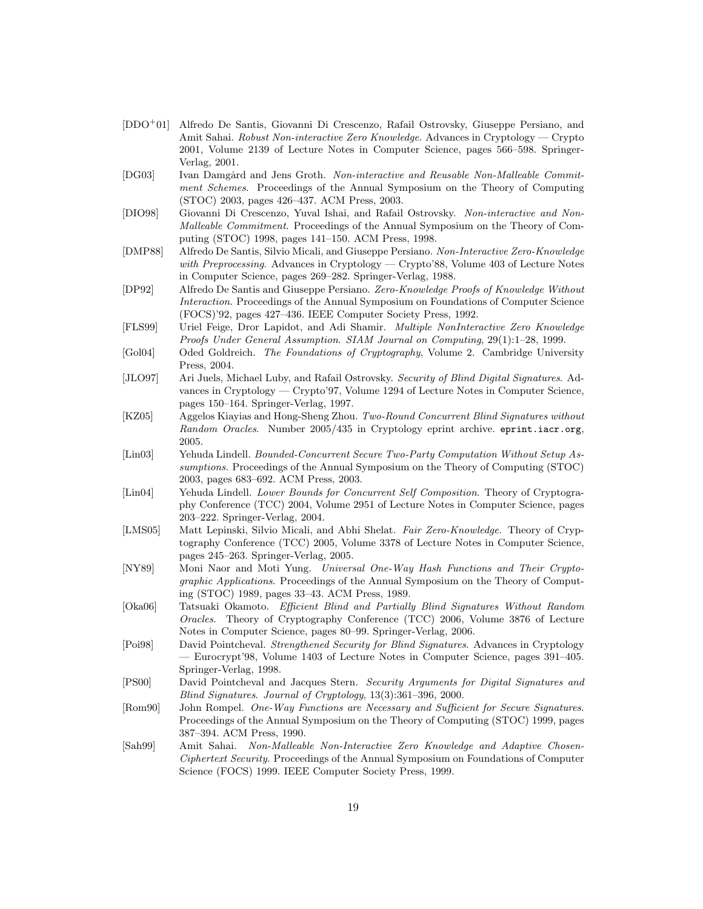| [DDO <sup>+</sup> 01] Alfredo De Santis, Giovanni Di Crescenzo, Rafail Ostrovsky, Giuseppe Persiano, and |
|----------------------------------------------------------------------------------------------------------|
| Amit Sahai. Robust Non-interactive Zero Knowledge. Advances in Cryptology — Crypto                       |
| 2001, Volume 2139 of Lecture Notes in Computer Science, pages 566–598. Springer-                         |
| Verlag, 2001.                                                                                            |

- [DG03] Ivan Damgård and Jens Groth. Non-interactive and Reusable Non-Malleable Commitment Schemes. Proceedings of the Annual Symposium on the Theory of Computing (STOC) 2003, pages 426–437. ACM Press, 2003.
- [DIO98] Giovanni Di Crescenzo, Yuval Ishai, and Rafail Ostrovsky. Non-interactive and Non-Malleable Commitment. Proceedings of the Annual Symposium on the Theory of Computing (STOC) 1998, pages 141–150. ACM Press, 1998.
- [DMP88] Alfredo De Santis, Silvio Micali, and Giuseppe Persiano. Non-Interactive Zero-Knowledge with Preprocessing. Advances in Cryptology — Crypto'88, Volume 403 of Lecture Notes in Computer Science, pages 269–282. Springer-Verlag, 1988.
- [DP92] Alfredo De Santis and Giuseppe Persiano. Zero-Knowledge Proofs of Knowledge Without Interaction. Proceedings of the Annual Symposium on Foundations of Computer Science (FOCS)'92, pages 427–436. IEEE Computer Society Press, 1992.
- [FLS99] Uriel Feige, Dror Lapidot, and Adi Shamir. Multiple NonInteractive Zero Knowledge Proofs Under General Assumption. SIAM Journal on Computing, 29(1):1–28, 1999.
- [Gol04] Oded Goldreich. The Foundations of Cryptography, Volume 2. Cambridge University Press, 2004.
- [JLO97] Ari Juels, Michael Luby, and Rafail Ostrovsky. Security of Blind Digital Signatures. Advances in Cryptology — Crypto'97, Volume 1294 of Lecture Notes in Computer Science, pages 150–164. Springer-Verlag, 1997.
- [KZ05] Aggelos Kiayias and Hong-Sheng Zhou. Two-Round Concurrent Blind Signatures without Random Oracles. Number 2005/435 in Cryptology eprint archive. eprint.iacr.org, 2005.
- [Lin03] Yehuda Lindell. Bounded-Concurrent Secure Two-Party Computation Without Setup Assumptions. Proceedings of the Annual Symposium on the Theory of Computing (STOC) 2003, pages 683–692. ACM Press, 2003.
- [Lin04] Yehuda Lindell. Lower Bounds for Concurrent Self Composition. Theory of Cryptography Conference (TCC) 2004, Volume 2951 of Lecture Notes in Computer Science, pages 203–222. Springer-Verlag, 2004.
- [LMS05] Matt Lepinski, Silvio Micali, and Abhi Shelat. Fair Zero-Knowledge. Theory of Cryptography Conference (TCC) 2005, Volume 3378 of Lecture Notes in Computer Science, pages 245–263. Springer-Verlag, 2005.
- [NY89] Moni Naor and Moti Yung. Universal One-Way Hash Functions and Their Cryptographic Applications. Proceedings of the Annual Symposium on the Theory of Computing (STOC) 1989, pages 33–43. ACM Press, 1989.
- [Oka06] Tatsuaki Okamoto. Efficient Blind and Partially Blind Signatures Without Random Oracles. Theory of Cryptography Conference (TCC) 2006, Volume 3876 of Lecture Notes in Computer Science, pages 80–99. Springer-Verlag, 2006.
- [Poi98] David Pointcheval. Strengthened Security for Blind Signatures. Advances in Cryptology — Eurocrypt'98, Volume 1403 of Lecture Notes in Computer Science, pages 391–405. Springer-Verlag, 1998.
- [PS00] David Pointcheval and Jacques Stern. Security Arguments for Digital Signatures and Blind Signatures. Journal of Cryptology, 13(3):361–396, 2000.
- [Rom90] John Rompel. One-Way Functions are Necessary and Sufficient for Secure Signatures. Proceedings of the Annual Symposium on the Theory of Computing (STOC) 1999, pages 387–394. ACM Press, 1990.
- [Sah99] Amit Sahai. Non-Malleable Non-Interactive Zero Knowledge and Adaptive Chosen-Ciphertext Security. Proceedings of the Annual Symposium on Foundations of Computer Science (FOCS) 1999. IEEE Computer Society Press, 1999.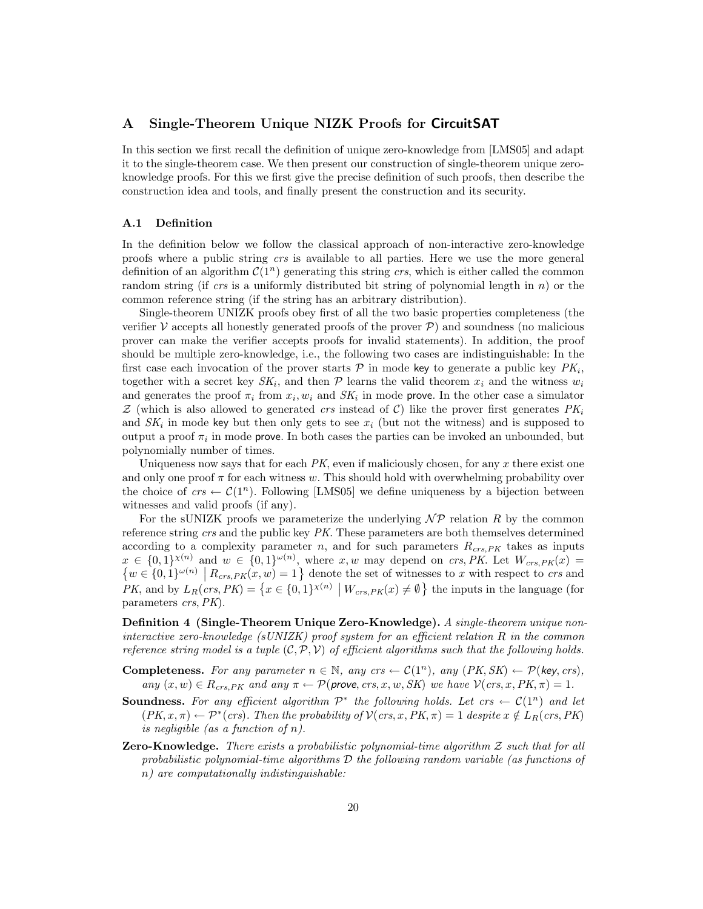## A Single-Theorem Unique NIZK Proofs for CircuitSAT

In this section we first recall the definition of unique zero-knowledge from [LMS05] and adapt it to the single-theorem case. We then present our construction of single-theorem unique zeroknowledge proofs. For this we first give the precise definition of such proofs, then describe the construction idea and tools, and finally present the construction and its security.

#### A.1 Definition

In the definition below we follow the classical approach of non-interactive zero-knowledge proofs where a public string crs is available to all parties. Here we use the more general definition of an algorithm  $\mathcal{C}(1^n)$  generating this string crs, which is either called the common random string (if crs is a uniformly distributed bit string of polynomial length in n) or the common reference string (if the string has an arbitrary distribution).

Single-theorem UNIZK proofs obey first of all the two basic properties completeness (the verifier  $\mathcal V$  accepts all honestly generated proofs of the prover  $\mathcal P$ ) and soundness (no malicious prover can make the verifier accepts proofs for invalid statements). In addition, the proof should be multiple zero-knowledge, i.e., the following two cases are indistinguishable: In the first case each invocation of the prover starts  $P$  in mode key to generate a public key  $PK_i$ , together with a secret key  $SK_i$ , and then  $P$  learns the valid theorem  $x_i$  and the witness  $w_i$ and generates the proof  $\pi_i$  from  $x_i, w_i$  and  $SK_i$  in mode prove. In the other case a simulator  $Z$  (which is also allowed to generated crs instead of C) like the prover first generates  $PK_i$ and  $SK_i$  in mode key but then only gets to see  $x_i$  (but not the witness) and is supposed to output a proof  $\pi_i$  in mode prove. In both cases the parties can be invoked an unbounded, but polynomially number of times.

Uniqueness now says that for each  $PK$ , even if maliciously chosen, for any x there exist one and only one proof  $\pi$  for each witness w. This should hold with overwhelming probability over the choice of  $crs \leftarrow \mathcal{C}(1^n)$ . Following [LMS05] we define uniqueness by a bijection between witnesses and valid proofs (if any).

For the sUNIZK proofs we parameterize the underlying  $\mathcal{NP}$  relation R by the common reference string crs and the public key PK. These parameters are both themselves determined according to a complexity parameter n, and for such parameters  $R_{crs,PK}$  takes as inputs  $x \in \{0,1\}^{\chi(n)}$  and  $w \in \{0,1\}^{\omega(n)}$ , where x, w may depend on crs, PK. Let  $W_{crs,PK}(x)$  =  $\{w \in \{0,1\}^{\omega(n)} \mid R_{crs,PK}(x,w) = 1\}$  denote the set of witnesses to x with respect to crs and PK, and by  $L_R(crs, PK) = \left\{ x \in \{0, 1\}^{\chi(n)} \mid W_{crs, PK}(x) \neq \emptyset \right\}$  the inputs in the language (for parameters crs, PK).

Definition 4 (Single-Theorem Unique Zero-Knowledge). A single-theorem unique noninteractive zero-knowledge (sUNIZK) proof system for an efficient relation R in the common reference string model is a tuple  $(C, \mathcal{P}, \mathcal{V})$  of efficient algorithms such that the following holds.

- **Completeness.** For any parameter  $n \in \mathbb{N}$ , any  $crs \leftarrow \mathcal{C}(1^n)$ , any  $(PK, SK) \leftarrow \mathcal{P}(key, crs)$ , any  $(x, w) \in R_{crs, PK}$  and any  $\pi \leftarrow \mathcal{P}(\text{prove,} crs, x, w, SK)$  we have  $\mathcal{V}(crs, x, PK, \pi) = 1$ .
- **Soundness.** For any efficient algorithm  $\mathcal{P}^*$  the following holds. Let  $\mathit{crs} \leftarrow \mathcal{C}(1^n)$  and let  $(PK, x, \pi) \leftarrow \mathcal{P}^*(\text{crs})$ . Then the probability of  $\mathcal{V}(\text{crs}, x, PK, \pi) = 1$  despite  $x \notin L_R(\text{crs}, PK)$ is negligible (as a function of n).
- **Zero-Knowledge.** There exists a probabilistic polynomial-time algorithm  $Z$  such that for all probabilistic polynomial-time algorithms  $\mathcal D$  the following random variable (as functions of n) are computationally indistinguishable: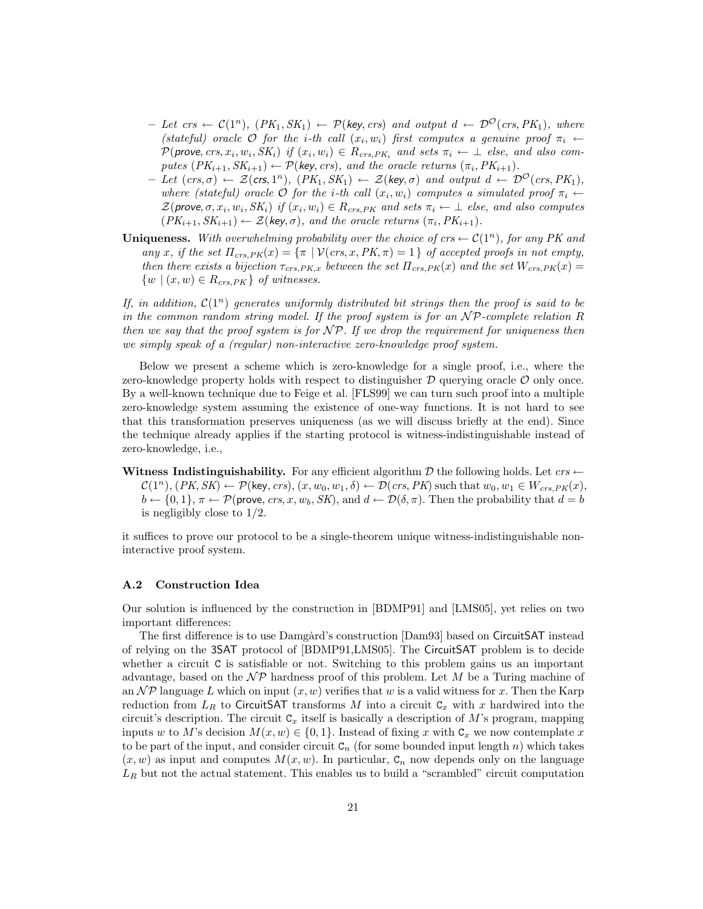- Let crs ←  $C(1^n)$ ,  $(PK_1, SK_1)$  ←  $P(key, crs)$  and output  $d \leftarrow \mathcal{D}^{\mathcal{O}}(crs, PK_1)$ , where (stateful) oracle O for the i-th call  $(x_i, w_i)$  first computes a genuine proof  $\pi_i \leftarrow$  $\mathcal{P}(\text{prove}, \text{crs}, x_i, w_i, SK_i)$  if  $(x_i, w_i) \in R_{crs, PK_i}$  and sets  $\pi_i \leftarrow \bot$  else, and also computes  $(PK_{i+1}, SK_{i+1}) \leftarrow \mathcal{P}(\text{key}, \text{crs})$ , and the oracle returns  $(\pi_i, PK_{i+1})$ .
- $-Iet(crs,\sigma) \leftarrow \mathcal{Z}(crs,1^n), (PK_1, SK_1) \leftarrow \mathcal{Z}(key,\sigma)$  and output  $d \leftarrow \mathcal{D}^{\mathcal{O}}(crs, PK_1),$ where (stateful) oracle O for the i-th call  $(x_i, w_i)$  computes a simulated proof  $\pi_i \leftarrow$  $\mathcal{Z}(prove, \sigma, x_i, w_i, SK_i)$  if  $(x_i, w_i) \in R_{crs, PK}$  and sets  $\pi_i \leftarrow \bot$  else, and also computes  $(PK_{i+1}, SK_{i+1}) \leftarrow \mathcal{Z}(key, \sigma)$ , and the oracle returns  $(\pi_i, PK_{i+1})$ .
- Uniqueness. With overwhelming probability over the choice of crs  $\leftarrow \mathcal{C}(1^n)$ , for any PK and any x, if the set  $\Pi_{crs,PK}(x) = {\pi \mid \mathcal{V}(crs, x, PK, \pi) = 1}$  of accepted proofs in not empty, then there exists a bijection  $\tau_{crs,PK,x}$  between the set  $\Pi_{crs,PK}(x)$  and the set  $W_{crs,PK}(x)$  $\{w \mid (x, w) \in R_{crs, PK}\}\$  of witnesses.

If, in addition,  $\mathcal{C}(1^n)$  generates uniformly distributed bit strings then the proof is said to be in the common random string model. If the proof system is for an  $\mathcal{NP}$ -complete relation R then we say that the proof system is for  $\mathcal{NP}$ . If we drop the requirement for uniqueness then we simply speak of a (regular) non-interactive zero-knowledge proof system.

Below we present a scheme which is zero-knowledge for a single proof, i.e., where the zero-knowledge property holds with respect to distinguisher  $D$  querying oracle  $O$  only once. By a well-known technique due to Feige et al. [FLS99] we can turn such proof into a multiple zero-knowledge system assuming the existence of one-way functions. It is not hard to see that this transformation preserves uniqueness (as we will discuss briefly at the end). Since the technique already applies if the starting protocol is witness-indistinguishable instead of zero-knowledge, i.e.,

Witness Indistinguishability. For any efficient algorithm  $\mathcal D$  the following holds. Let  $\mathit{crs} \leftarrow$  $\mathcal{C}(1^n), (PK, SK) \leftarrow \mathcal{P}(\text{key}, crs), (x, w_0, w_1, \delta) \leftarrow \mathcal{D}(crs, PK)$  such that  $w_0, w_1 \in W_{crs, PK}(x)$ ,  $b \leftarrow \{0, 1\}, \pi \leftarrow \mathcal{P}(\text{prove}, \text{crs}, x, w_b, SK), \text{and } d \leftarrow \mathcal{D}(\delta, \pi)$ . Then the probability that  $d = b$ is negligibly close to 1/2.

it suffices to prove our protocol to be a single-theorem unique witness-indistinguishable noninteractive proof system.

## A.2 Construction Idea

Our solution is influenced by the construction in [BDMP91] and [LMS05], yet relies on two important differences:

The first difference is to use Damgard's construction [Dam93] based on CircuitSAT instead of relying on the 3SAT protocol of [BDMP91,LMS05]. The CircuitSAT problem is to decide whether a circuit C is satisfiable or not. Switching to this problem gains us an important advantage, based on the  $\mathcal{NP}$  hardness proof of this problem. Let M be a Turing machine of an  $\mathcal{NP}$  language L which on input  $(x, w)$  verifies that w is a valid witness for x. Then the Karp reduction from  $L_R$  to CircuitSAT transforms M into a circuit  $C_x$  with x hardwired into the circuit's description. The circuit  $C_x$  itself is basically a description of M's program, mapping inputs w to M's decision  $M(x, w) \in \{0, 1\}$ . Instead of fixing x with  $C_x$  we now contemplate x to be part of the input, and consider circuit  $C_n$  (for some bounded input length n) which takes  $(x, w)$  as input and computes  $M(x, w)$ . In particular,  $C_n$  now depends only on the language  $L_R$  but not the actual statement. This enables us to build a "scrambled" circuit computation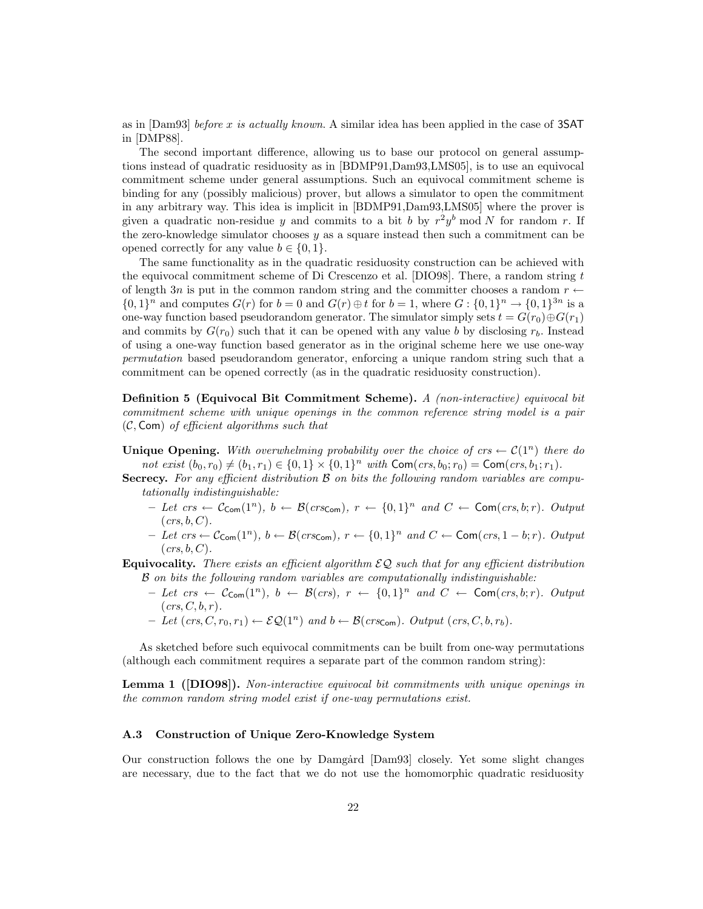as in [Dam93] before x is actually known. A similar idea has been applied in the case of 3SAT in [DMP88].

The second important difference, allowing us to base our protocol on general assumptions instead of quadratic residuosity as in [BDMP91,Dam93,LMS05], is to use an equivocal commitment scheme under general assumptions. Such an equivocal commitment scheme is binding for any (possibly malicious) prover, but allows a simulator to open the commitment in any arbitrary way. This idea is implicit in [BDMP91,Dam93,LMS05] where the prover is given a quadratic non-residue y and commits to a bit b by  $r^2y^b \mod N$  for random r. If the zero-knowledge simulator chooses  $y$  as a square instead then such a commitment can be opened correctly for any value  $b \in \{0, 1\}.$ 

The same functionality as in the quadratic residuosity construction can be achieved with the equivocal commitment scheme of Di Crescenzo et al. [DIO98]. There, a random string t of length 3n is put in the common random string and the committer chooses a random  $r \leftarrow$  $\{0,1\}^n$  and computes  $G(r)$  for  $b=0$  and  $G(r) \oplus t$  for  $b=1$ , where  $G: \{0,1\}^n \to \{0,1\}^{3n}$  is a one-way function based pseudorandom generator. The simulator simply sets  $t = G(r_0) \oplus G(r_1)$ and commits by  $G(r_0)$  such that it can be opened with any value b by disclosing  $r_b$ . Instead of using a one-way function based generator as in the original scheme here we use one-way permutation based pseudorandom generator, enforcing a unique random string such that a commitment can be opened correctly (as in the quadratic residuosity construction).

Definition 5 (Equivocal Bit Commitment Scheme). A (non-interactive) equivocal bit commitment scheme with unique openings in the common reference string model is a pair  $(C, Com)$  of efficient algorithms such that

Unique Opening. With overwhelming probability over the choice of crs  $\leftarrow \mathcal{C}(1^n)$  there do not exist  $(b_0, r_0) \neq (b_1, r_1) \in \{0, 1\} \times \{0, 1\}^n$  with  $\mathsf{Com}(crs, b_0; r_0) = \mathsf{Com}(crs, b_1; r_1)$ .

- Secrecy. For any efficient distribution B on bits the following random variables are computationally indistinguishable:
	- $-Iet\ crs \leftarrow C_{\text{Com}}(1^n),\ b \leftarrow \mathcal{B}(crs_{\text{Com}}),\ r \leftarrow \{0,1\}^n\ and\ C \leftarrow \text{Com}(crs,b;r).$  Output  $(crs, b, C)$ .
	- $-$  Let crs ←  $\mathcal{C}_{\text{Com}}(1^n)$ ,  $b \leftarrow \mathcal{B}(crs_{\text{Com}})$ ,  $r \leftarrow \{0,1\}^n$  and  $C \leftarrow \text{Com}(crs, 1 b; r)$ . Output  $(crs, b, C)$ .

**Equivocality.** There exists an efficient algorithm  $\mathcal{EQ}$  such that for any efficient distribution B on bits the following random variables are computationally indistinguishable:

- $-Iet\ crs \leftarrow \mathcal{C}_{\mathsf{Com}}(1^n),\ b\leftarrow \mathcal{B}(crs),\ r\leftarrow \{0,1\}^n\ and\ C\leftarrow \mathsf{Com}(crs,b;r).$  Output  $(crs, C, b, r).$
- $-$  Let  $(crs, C, r_0, r_1) \leftarrow \mathcal{EQ}(1^n)$  and  $b \leftarrow \mathcal{B}(crs_{\text{Com}})$ . Output  $(crs, C, b, r_b)$ .

As sketched before such equivocal commitments can be built from one-way permutations (although each commitment requires a separate part of the common random string):

Lemma 1 ([DIO98]). Non-interactive equivocal bit commitments with unique openings in the common random string model exist if one-way permutations exist.

#### A.3 Construction of Unique Zero-Knowledge System

Our construction follows the one by Damgard  $[Dam93]$  closely. Yet some slight changes are necessary, due to the fact that we do not use the homomorphic quadratic residuosity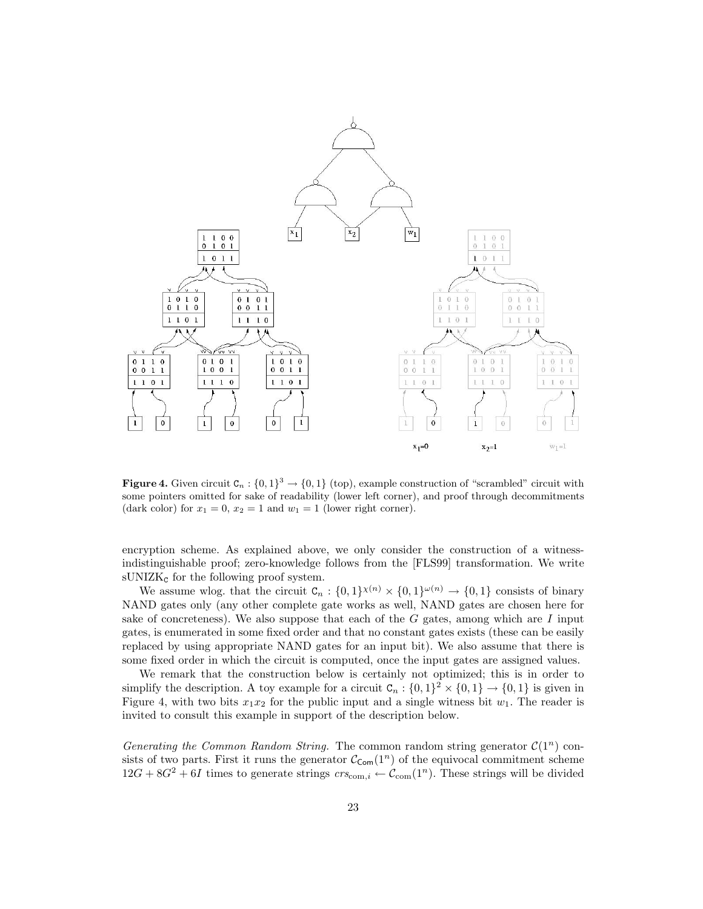

**Figure 4.** Given circuit  $C_n : \{0,1\}^3 \to \{0,1\}$  (top), example construction of "scrambled" circuit with some pointers omitted for sake of readability (lower left corner), and proof through decommitments (dark color) for  $x_1 = 0$ ,  $x_2 = 1$  and  $w_1 = 1$  (lower right corner).

encryption scheme. As explained above, we only consider the construction of a witnessindistinguishable proof; zero-knowledge follows from the [FLS99] transformation. We write  $\text{sUNIZK}_{\text{c}}$  for the following proof system.

We assume wlog. that the circuit  $C_n : \{0,1\}^{\chi(n)} \times \{0,1\}^{\omega(n)} \to \{0,1\}$  consists of binary NAND gates only (any other complete gate works as well, NAND gates are chosen here for sake of concreteness). We also suppose that each of the  $G$  gates, among which are  $I$  input gates, is enumerated in some fixed order and that no constant gates exists (these can be easily replaced by using appropriate NAND gates for an input bit). We also assume that there is some fixed order in which the circuit is computed, once the input gates are assigned values.

We remark that the construction below is certainly not optimized; this is in order to simplify the description. A toy example for a circuit  $C_n : \{0,1\}^2 \times \{0,1\} \to \{0,1\}$  is given in Figure 4, with two bits  $x_1x_2$  for the public input and a single witness bit  $w_1$ . The reader is invited to consult this example in support of the description below.

Generating the Common Random String. The common random string generator  $\mathcal{C}(1^n)$  consists of two parts. First it runs the generator  $\mathcal{C}_{\text{Com}}(1^n)$  of the equivocal commitment scheme  $12G + 8G^2 + 6I$  times to generate strings  $crs_{\text{com},i} \leftarrow \mathcal{C}_{\text{com}}(1^n)$ . These strings will be divided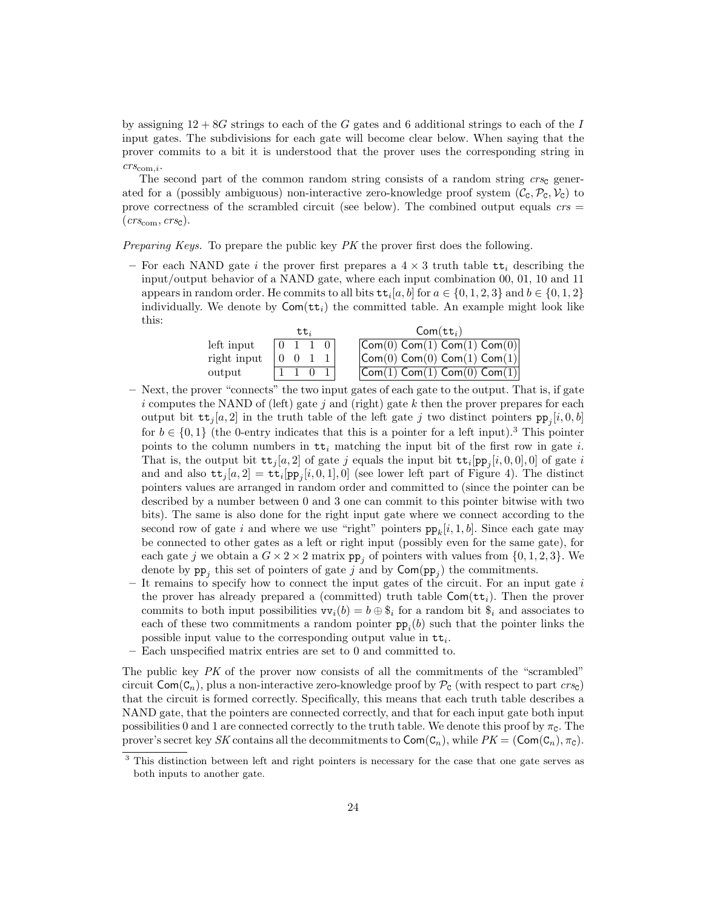by assigning  $12 + 8G$  strings to each of the G gates and 6 additional strings to each of the I input gates. The subdivisions for each gate will become clear below. When saying that the prover commits to a bit it is understood that the prover uses the corresponding string in  $crs_{\text{com},i}.$ 

The second part of the common random string consists of a random string  $crs<sub>c</sub>$  generated for a (possibly ambiguous) non-interactive zero-knowledge proof system  $(\mathcal{C}_{\mathcal{C}},\mathcal{P}_{\mathcal{C}},\mathcal{V}_{\mathcal{C}})$  to prove correctness of the scrambled circuit (see below). The combined output equals  $\mathit{crs} =$  $(crs<sub>com</sub>, crs<sub>C</sub>)$ .

Preparing Keys. To prepare the public key PK the prover first does the following.

– For each NAND gate i the prover first prepares a  $4 \times 3$  truth table  $tt_i$  describing the input/output behavior of a NAND gate, where each input combination 00, 01, 10 and 11 appears in random order. He commits to all bits  $\mathbf{t}$ <sub>i</sub> $[a, b]$  for  $a \in \{0, 1, 2, 3\}$  and  $b \in \{0, 1, 2\}$ individually. We denote by  $Com({ttt}_i)$  the committed table. An example might look like this:

|             | モモ  |  | $Com({\tt tt}_i)$                                          |
|-------------|-----|--|------------------------------------------------------------|
| left input  |     |  | $\mathsf{Com}(0)$ Com $(1)$ Com $(1)$ Com $(0)$            |
| right input | - 0 |  | $\vert$ Com $(0)$ Com $(0)$ Com $(1)$ Com $(1)$            |
| output      |     |  | $\overline{\textsf{Com}(1)}$ Com $(1)$ Com $(0)$ Com $(1)$ |

- Next, the prover "connects" the two input gates of each gate to the output. That is, if gate i computes the NAND of (left) gate j and (right) gate  $k$  then the prover prepares for each output bit  $\mathsf{tt}_j[a, 2]$  in the truth table of the left gate j two distinct pointers  $\mathsf{pp}_j[i, 0, b]$ for  $b \in \{0,1\}$  (the 0-entry indicates that this is a pointer for a left input).<sup>3</sup> This pointer points to the column numbers in  $tt_i$  matching the input bit of the first row in gate i. That is, the output bit  $tt_j[a, 2]$  of gate j equals the input bit  $tt_i[pp_j[i, 0, 0], 0]$  of gate i and and also  $\mathbf{tt}_j[a, 2] = \mathbf{tt}_i[p_{p_j}[i, 0, 1], 0]$  (see lower left part of Figure 4). The distinct pointers values are arranged in random order and committed to (since the pointer can be described by a number between 0 and 3 one can commit to this pointer bitwise with two bits). The same is also done for the right input gate where we connect according to the second row of gate i and where we use "right" pointers  $pp_k[i, 1, b]$ . Since each gate may be connected to other gates as a left or right input (possibly even for the same gate), for each gate j we obtain a  $G \times 2 \times 2$  matrix  $pp_j$  of pointers with values from  $\{0, 1, 2, 3\}$ . We denote by  $pp_j$  this set of pointers of gate j and by  $\textsf{Com}(pp_j)$  the commitments.
- It remains to specify how to connect the input gates of the circuit. For an input gate  $i$ the prover has already prepared a (committed) truth table  $Com(t_{i})$ . Then the prover commits to both input possibilities  $vv_i(b) = b \oplus \S_i$  for a random bit  $\S_i$  and associates to each of these two commitments a random pointer  $pp_i(b)$  such that the pointer links the possible input value to the corresponding output value in  $tt_i$ .
- Each unspecified matrix entries are set to 0 and committed to.

The public key  $PK$  of the prover now consists of all the commitments of the "scrambled" circuit  $Com(C_n)$ , plus a non-interactive zero-knowledge proof by  $\mathcal{P}_c$  (with respect to part  $crsc$ ) that the circuit is formed correctly. Specifically, this means that each truth table describes a NAND gate, that the pointers are connected correctly, and that for each input gate both input possibilities 0 and 1 are connected correctly to the truth table. We denote this proof by  $\pi_c$ . The prover's secret key SK contains all the decommitments to  $Com(C_n)$ , while  $PK = (Com(C_n), \pi_c)$ .

<sup>&</sup>lt;sup>3</sup> This distinction between left and right pointers is necessary for the case that one gate serves as both inputs to another gate.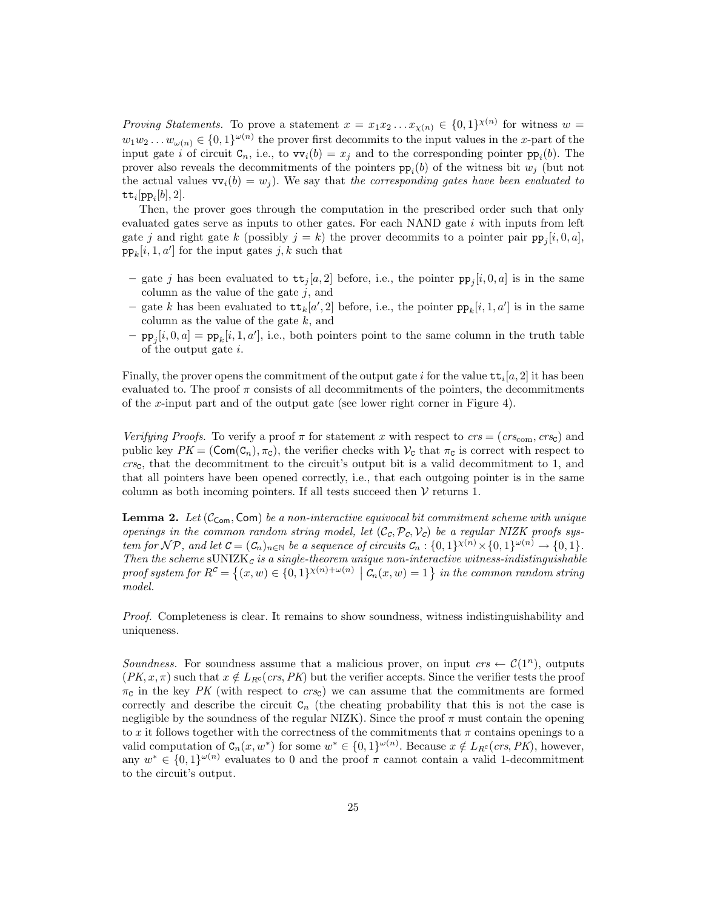*Proving Statements.* To prove a statement  $x = x_1 x_2 ... x_{\chi(n)} \in \{0,1\}^{\chi(n)}$  for witness  $w =$  $w_1w_2 \ldots w_{\omega(n)} \in \{0,1\}^{\omega(n)}$  the prover first decommits to the input values in the x-part of the input gate *i* of circuit  $C_n$ , i.e., to  $vv_i(b) = x_j$  and to the corresponding pointer  $pp_i(b)$ . The prover also reveals the decommitments of the pointers  $pp_i(b)$  of the witness bit  $w_j$  (but not the actual values  $vv_i(b) = w_i$ ). We say that the corresponding gates have been evaluated to  $\mathtt{tt}_i[\mathtt{pp}_i[b],2].$ 

Then, the prover goes through the computation in the prescribed order such that only evaluated gates serve as inputs to other gates. For each NAND gate  $i$  with inputs from left gate j and right gate k (possibly  $j = k$ ) the prover decommits to a pointer pair  $pp_j[i, 0, a]$ ,  $\text{pp}_k[i, 1, a']$  for the input gates  $j, k$  such that

- gate j has been evaluated to  $tt_j[a, 2]$  before, i.e., the pointer  $pp_j[i, 0, a]$  is in the same column as the value of the gate  $j$ , and
- gate k has been evaluated to  $\mathsf{tt}_k[a', 2]$  before, i.e., the pointer  $\mathsf{pp}_k[i, 1, a']$  is in the same column as the value of the gate  $k$ , and
- $-$  pp<sub>j</sub>[i, 0, a] = pp<sub>k</sub>[i, 1, a'], i.e., both pointers point to the same column in the truth table of the output gate i.

Finally, the prover opens the commitment of the output gate i for the value  $\mathsf{tt}_i[a, 2]$  it has been evaluated to. The proof  $\pi$  consists of all decommitments of the pointers, the decommitments of the x-input part and of the output gate (see lower right corner in Figure 4).

Verifying Proofs. To verify a proof  $\pi$  for statement x with respect to  $crs = (crs_{com}, crs_{c})$  and public key  $PK = (Com(C_n), \pi_c)$ , the verifier checks with  $V_c$  that  $\pi_c$  is correct with respect to  $crsc$ , that the decommitment to the circuit's output bit is a valid decommitment to 1, and that all pointers have been opened correctly, i.e., that each outgoing pointer is in the same column as both incoming pointers. If all tests succeed then  $V$  returns 1.

**Lemma 2.** Let  $(\mathcal{C}_{\text{com}}, \text{Com})$  be a non-interactive equivocal bit commitment scheme with unique openings in the common random string model, let  $(C_c, \mathcal{P}_c, \mathcal{V}_c)$  be a regular NIZK proofs system for  $\mathcal{NP}$ , and let  $\mathcal{C} = (\mathcal{C}_n)_{n \in \mathbb{N}}$  be a sequence of circuits  $\mathcal{C}_n : \{0,1\}^{\chi(n)} \times \{0,1\}^{\omega(n)} \to \{0,1\}.$ Then the scheme  $\text{SUNIZK}_c$  is a single-theorem unique non-interactive witness-indistinguishable proof system for  $R^{\mathcal{C}} = \{(x, w) \in \{0, 1\}^{\chi(n)+\omega(n)} \mid \mathcal{C}_n(x, w) = 1\}$  in the common random string model.

Proof. Completeness is clear. It remains to show soundness, witness indistinguishability and uniqueness.

Soundness. For soundness assume that a malicious prover, on input  $\mathit{crs} \leftarrow \mathcal{C}(1^n)$ , outputs  $(PK, x, \pi)$  such that  $x \notin L_{R^c} (crs, PK)$  but the verifier accepts. Since the verifier tests the proof  $\pi_c$  in the key PK (with respect to  $crs_c$ ) we can assume that the commitments are formed correctly and describe the circuit  $C_n$  (the cheating probability that this is not the case is negligible by the soundness of the regular NIZK). Since the proof  $\pi$  must contain the opening to x it follows together with the correctness of the commitments that  $\pi$  contains openings to a valid computation of  $C_n(x, w^*)$  for some  $w^* \in \{0, 1\}^{\omega(n)}$ . Because  $x \notin L_{R^c}(crs, PK)$ , however, any  $w^* \in \{0,1\}^{\omega(n)}$  evaluates to 0 and the proof  $\pi$  cannot contain a valid 1-decommitment to the circuit's output.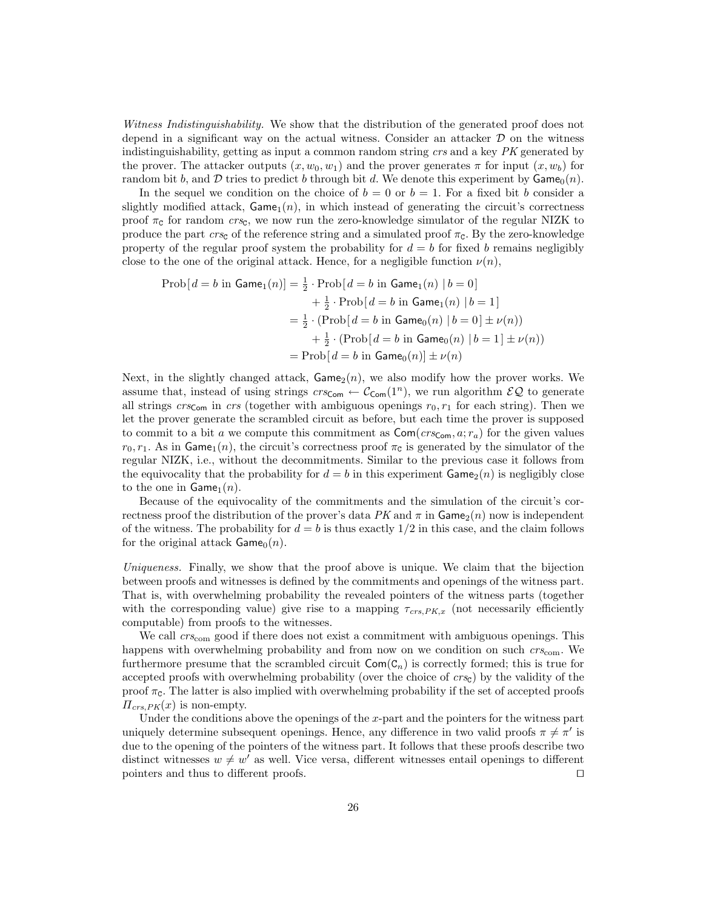Witness Indistinguishability. We show that the distribution of the generated proof does not depend in a significant way on the actual witness. Consider an attacker  $D$  on the witness indistinguishability, getting as input a common random string crs and a key PK generated by the prover. The attacker outputs  $(x, w_0, w_1)$  and the prover generates  $\pi$  for input  $(x, w_b)$  for random bit b, and D tries to predict b through bit d. We denote this experiment by  $\mathsf{Game}_0(n)$ .

In the sequel we condition on the choice of  $b = 0$  or  $b = 1$ . For a fixed bit b consider a slightly modified attack,  $\mathsf{Game}_1(n)$ , in which instead of generating the circuit's correctness proof  $\pi_c$  for random  $crs_c$ , we now run the zero-knowledge simulator of the regular NIZK to produce the part crs<sub>c</sub> of the reference string and a simulated proof  $\pi_c$ . By the zero-knowledge property of the regular proof system the probability for  $d = b$  for fixed b remains negligibly close to the one of the original attack. Hence, for a negligible function  $\nu(n)$ ,

$$
\text{Prob}[d = b \text{ in Game}_1(n)] = \frac{1}{2} \cdot \text{Prob}[d = b \text{ in Game}_1(n) | b = 0]
$$

$$
+ \frac{1}{2} \cdot \text{Prob}[d = b \text{ in Game}_1(n) | b = 1]
$$

$$
= \frac{1}{2} \cdot (\text{Prob}[d = b \text{ in Game}_0(n) | b = 0] \pm \nu(n))
$$

$$
+ \frac{1}{2} \cdot (\text{Prob}[d = b \text{ in Game}_0(n) | b = 1] \pm \nu(n))
$$

$$
= \text{Prob}[d = b \text{ in Game}_0(n)] \pm \nu(n)
$$

Next, in the slightly changed attack,  $Game_2(n)$ , we also modify how the prover works. We assume that, instead of using strings  $crs_{\text{Com}} \leftarrow C_{\text{Com}}(1^n)$ , we run algorithm  $\mathcal{EQ}$  to generate all strings crs<sub>Com</sub> in crs (together with ambiguous openings  $r_0, r_1$  for each string). Then we let the prover generate the scrambled circuit as before, but each time the prover is supposed to commit to a bit a we compute this commitment as  $\textsf{Com}(crs_{\textsf{Com}}, a; r_a)$  for the given values  $r_0, r_1$ . As in Game<sub>1</sub>(n), the circuit's correctness proof  $\pi_c$  is generated by the simulator of the regular NIZK, i.e., without the decommitments. Similar to the previous case it follows from the equivocality that the probability for  $d = b$  in this experiment  $\text{Game}_2(n)$  is negligibly close to the one in  $\mathsf{Game}_1(n)$ .

Because of the equivocality of the commitments and the simulation of the circuit's correctness proof the distribution of the prover's data PK and  $\pi$  in Game<sub>2</sub>(n) now is independent of the witness. The probability for  $d = b$  is thus exactly  $1/2$  in this case, and the claim follows for the original attack  $\mathsf{Game}_0(n)$ .

Uniqueness. Finally, we show that the proof above is unique. We claim that the bijection between proofs and witnesses is defined by the commitments and openings of the witness part. That is, with overwhelming probability the revealed pointers of the witness parts (together with the corresponding value) give rise to a mapping  $\tau_{crs,PK,x}$  (not necessarily efficiently computable) from proofs to the witnesses.

We call  $\mathit{crs}_{\text{com}}$  good if there does not exist a commitment with ambiguous openings. This happens with overwhelming probability and from now on we condition on such  $crs_{\text{com}}$ . We furthermore presume that the scrambled circuit  $Com(C_n)$  is correctly formed; this is true for accepted proofs with overwhelming probability (over the choice of  $crsc$ ) by the validity of the proof  $\pi_{\mathsf{C}}$ . The latter is also implied with overwhelming probability if the set of accepted proofs  $\Pi_{crs,PK}(x)$  is non-empty.

Under the conditions above the openings of the  $x$ -part and the pointers for the witness part uniquely determine subsequent openings. Hence, any difference in two valid proofs  $\pi \neq \pi'$  is due to the opening of the pointers of the witness part. It follows that these proofs describe two distinct witnesses  $w \neq w'$  as well. Vice versa, different witnesses entail openings to different pointers and thus to different proofs.  $\Box$